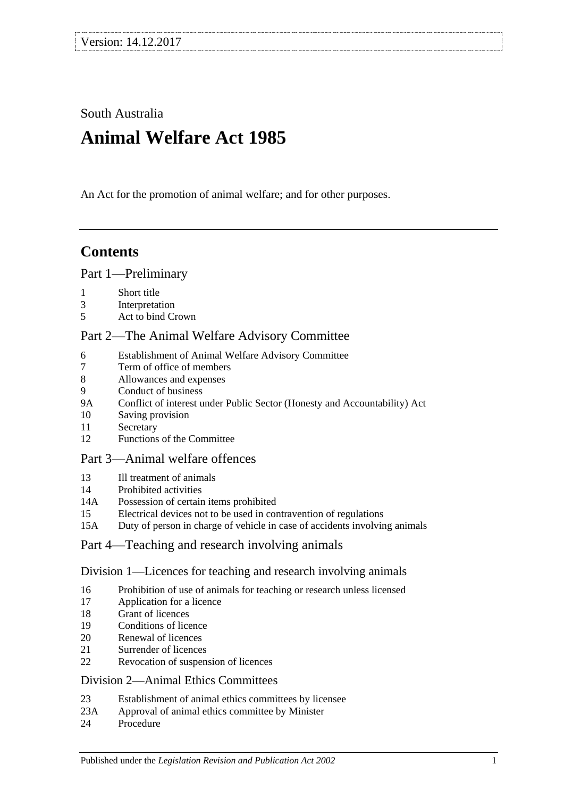South Australia

# **Animal Welfare Act 1985**

An Act for the promotion of animal welfare; and for other purposes.

## **Contents**

### [Part 1—Preliminary](#page-1-0)

- 1 [Short title](#page-1-1)
- 3 [Interpretation](#page-2-0)
- 5 [Act to bind Crown](#page-3-0)

### [Part 2—The Animal Welfare Advisory Committee](#page-3-1)

- 6 [Establishment of Animal Welfare Advisory Committee](#page-3-2)
- 7 [Term of office of members](#page-4-0)<br>8 Allowances and expenses
- 8 [Allowances and expenses](#page-5-0)
- 9 [Conduct of business](#page-5-1)
- 9A [Conflict of interest under Public Sector \(Honesty and Accountability\) Act](#page-5-2)
- 10 [Saving provision](#page-5-3)
- 11 [Secretary](#page-5-4)
- 12 [Functions of the Committee](#page-5-5)

### [Part 3—Animal welfare offences](#page-6-0)

- 13 [Ill treatment of animals](#page-6-1)
- 14 [Prohibited activities](#page-7-0)
- 14A [Possession of certain items prohibited](#page-8-0)
- 15 [Electrical devices not to be used in contravention of regulations](#page-9-0)
- 15A [Duty of person in charge of vehicle in case of accidents involving animals](#page-9-1)

### [Part 4—Teaching and research involving animals](#page-9-2)

### [Division 1—Licences for teaching and research involving animals](#page-9-3)

- 16 [Prohibition of use of animals for teaching or research unless licensed](#page-9-4)
- 17 [Application for a licence](#page-9-5)
- 18 [Grant of licences](#page-10-0)
- 19 [Conditions of licence](#page-10-1)
- 20 [Renewal of licences](#page-11-0)
- 21 [Surrender of licences](#page-11-1)
- 22 [Revocation of suspension of licences](#page-11-2)

### [Division 2—Animal Ethics Committees](#page-11-3)

- 23 [Establishment of animal ethics committees by licensee](#page-11-4)
- 23A [Approval of animal ethics committee by Minister](#page-12-0)
- 24 [Procedure](#page-12-1)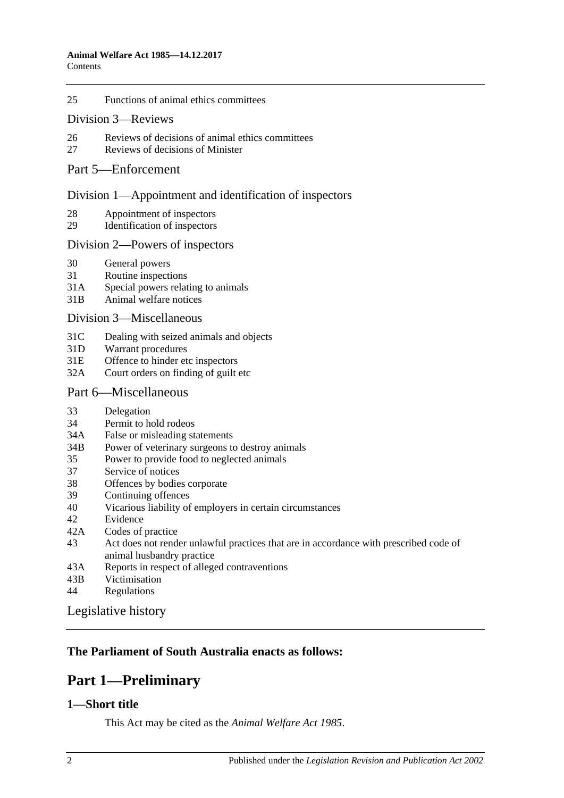25 [Functions of animal ethics committees](#page-13-0)

### Division [3—Reviews](#page-13-1)

- 26 [Reviews of decisions of animal ethics committees](#page-13-2)
- 27 [Reviews of decisions of Minister](#page-14-0)

### [Part 5—Enforcement](#page-14-1)

### [Division 1—Appointment and identification of inspectors](#page-14-2)

- 28 [Appointment of inspectors](#page-14-3)
- 29 [Identification of inspectors](#page-14-4)

### [Division 2—Powers of inspectors](#page-15-0)

- 30 [General powers](#page-15-1)
- 31 [Routine inspections](#page-17-0)
- 31A [Special powers relating to animals](#page-17-1)
- 31B [Animal welfare notices](#page-18-0)

### [Division 3—Miscellaneous](#page-18-1)

- 31C [Dealing with seized animals and objects](#page-18-2)
- 31D [Warrant procedures](#page-19-0)
- 31E [Offence to hinder etc inspectors](#page-20-0)
- 32A [Court orders on finding of guilt etc](#page-20-1)

### [Part 6—Miscellaneous](#page-21-0)

- 33 [Delegation](#page-21-1)
- 34 [Permit to hold rodeos](#page-21-2)
- 34A [False or misleading statements](#page-22-0)
- 34B [Power of veterinary surgeons to destroy animals](#page-22-1)
- 35 [Power to provide food to neglected animals](#page-22-2)
- 37 [Service of notices](#page-22-3)
- 38 [Offences by bodies corporate](#page-22-4)
- 39 [Continuing offences](#page-23-0)
- 40 [Vicarious liability of employers in certain circumstances](#page-23-1)
- 42 [Evidence](#page-23-2)
- 42A [Codes of practice](#page-24-0)
- 43 [Act does not render unlawful practices that are in accordance with prescribed code of](#page-24-1)  [animal husbandry practice](#page-24-1)
- 43A [Reports in respect of alleged contraventions](#page-24-2)
- 43B [Victimisation](#page-24-3)
- 44 [Regulations](#page-25-0)

[Legislative history](#page-27-0)

### <span id="page-1-0"></span>**The Parliament of South Australia enacts as follows:**

## **Part 1—Preliminary**

### <span id="page-1-1"></span>**1—Short title**

This Act may be cited as the *Animal Welfare Act 1985*.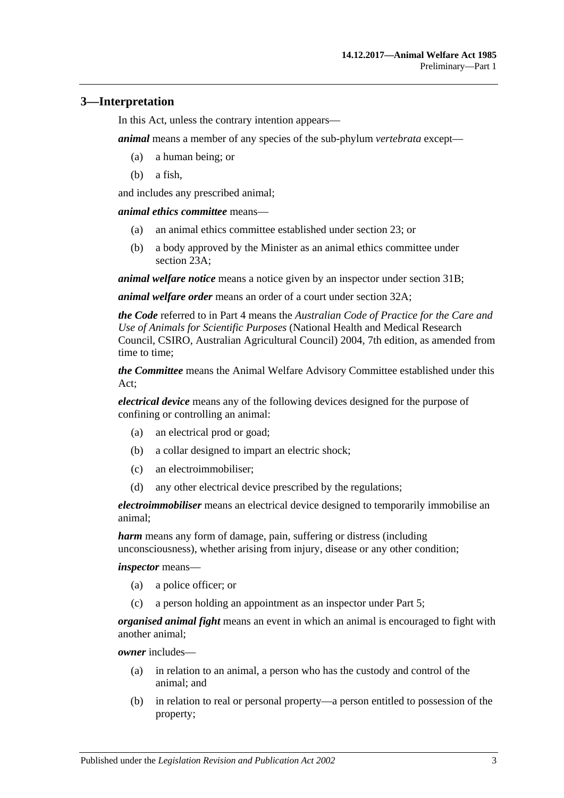### <span id="page-2-0"></span>**3—Interpretation**

In this Act, unless the contrary intention appears—

*animal* means a member of any species of the sub-phylum *vertebrata* except—

- (a) a human being; or
- (b) a fish,

and includes any prescribed animal;

*animal ethics committee* means—

- (a) an animal ethics committee established under [section](#page-11-4) 23; or
- (b) a body approved by the Minister as an animal ethics committee under [section](#page-12-0) 23A;

*animal welfare notice* means a notice given by an inspector under [section](#page-18-0) 31B;

*animal welfare order* means an order of a court under [section](#page-20-1) 32A;

*the Code* referred to in [Part 4](#page-9-2) means the *Australian Code of Practice for the Care and Use of Animals for Scientific Purposes* (National Health and Medical Research Council, CSIRO, Australian Agricultural Council) 2004, 7th edition, as amended from time to time;

*the Committee* means the Animal Welfare Advisory Committee established under this Act;

*electrical device* means any of the following devices designed for the purpose of confining or controlling an animal:

- (a) an electrical prod or goad;
- (b) a collar designed to impart an electric shock;
- (c) an electroimmobiliser;
- (d) any other electrical device prescribed by the regulations;

*electroimmobiliser* means an electrical device designed to temporarily immobilise an animal;

*harm* means any form of damage, pain, suffering or distress (including unconsciousness), whether arising from injury, disease or any other condition;

*inspector* means—

- (a) a police officer; or
- (c) a person holding an appointment as an inspector under [Part 5;](#page-14-1)

*organised animal fight* means an event in which an animal is encouraged to fight with another animal;

*owner* includes—

- (a) in relation to an animal, a person who has the custody and control of the animal; and
- (b) in relation to real or personal property—a person entitled to possession of the property;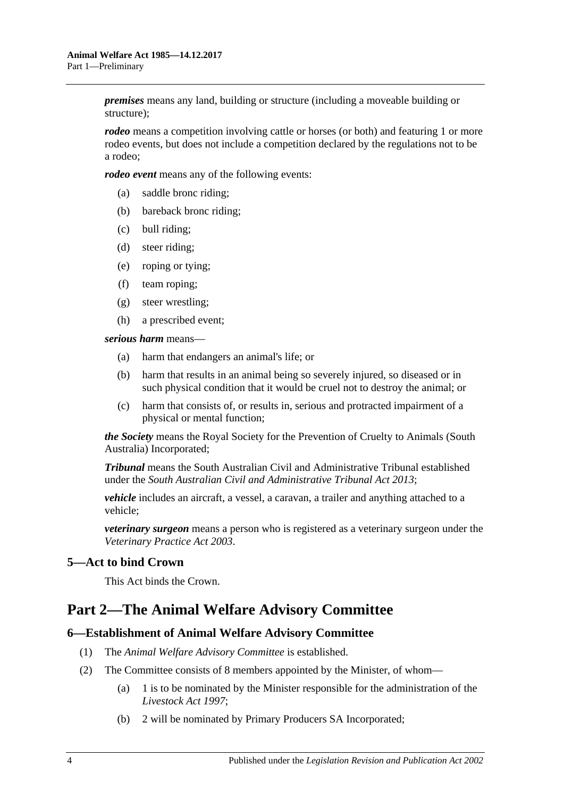*premises* means any land, building or structure (including a moveable building or structure);

*rodeo* means a competition involving cattle or horses (or both) and featuring 1 or more rodeo events, but does not include a competition declared by the regulations not to be a rodeo;

*rodeo event* means any of the following events:

- (a) saddle bronc riding;
- (b) bareback bronc riding;
- (c) bull riding;
- (d) steer riding;
- (e) roping or tying;
- (f) team roping;
- (g) steer wrestling;
- (h) a prescribed event;

*serious harm* means—

- (a) harm that endangers an animal's life; or
- (b) harm that results in an animal being so severely injured, so diseased or in such physical condition that it would be cruel not to destroy the animal; or
- (c) harm that consists of, or results in, serious and protracted impairment of a physical or mental function;

*the Society* means the Royal Society for the Prevention of Cruelty to Animals (South Australia) Incorporated;

*Tribunal* means the South Australian Civil and Administrative Tribunal established under the *[South Australian Civil and Administrative Tribunal Act](http://www.legislation.sa.gov.au/index.aspx?action=legref&type=act&legtitle=South%20Australian%20Civil%20and%20Administrative%20Tribunal%20Act%202013) 2013*;

*vehicle* includes an aircraft, a vessel, a caravan, a trailer and anything attached to a vehicle;

*veterinary surgeon* means a person who is registered as a veterinary surgeon under the *[Veterinary Practice Act](http://www.legislation.sa.gov.au/index.aspx?action=legref&type=act&legtitle=Veterinary%20Practice%20Act%202003) 2003*.

### <span id="page-3-0"></span>**5—Act to bind Crown**

This Act binds the Crown.

## <span id="page-3-1"></span>**Part 2—The Animal Welfare Advisory Committee**

### <span id="page-3-2"></span>**6—Establishment of Animal Welfare Advisory Committee**

- (1) The *Animal Welfare Advisory Committee* is established.
- (2) The Committee consists of 8 members appointed by the Minister, of whom—
	- (a) 1 is to be nominated by the Minister responsible for the administration of the *[Livestock Act](http://www.legislation.sa.gov.au/index.aspx?action=legref&type=act&legtitle=Livestock%20Act%201997) 1997*;
	- (b) 2 will be nominated by Primary Producers SA Incorporated;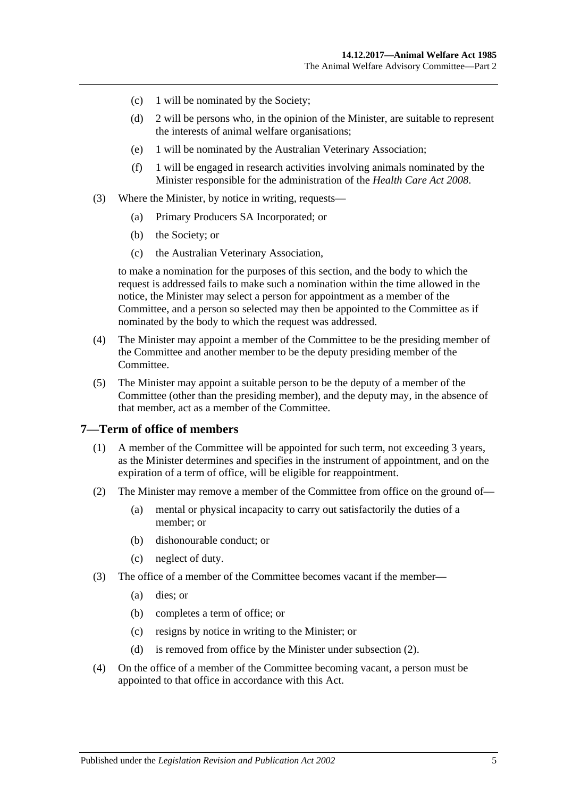- (c) 1 will be nominated by the Society;
- (d) 2 will be persons who, in the opinion of the Minister, are suitable to represent the interests of animal welfare organisations;
- (e) 1 will be nominated by the Australian Veterinary Association;
- (f) 1 will be engaged in research activities involving animals nominated by the Minister responsible for the administration of the *[Health Care Act](http://www.legislation.sa.gov.au/index.aspx?action=legref&type=act&legtitle=Health%20Care%20Act%202008) 2008*.
- (3) Where the Minister, by notice in writing, requests—
	- (a) Primary Producers SA Incorporated; or
	- (b) the Society; or
	- (c) the Australian Veterinary Association,

to make a nomination for the purposes of this section, and the body to which the request is addressed fails to make such a nomination within the time allowed in the notice, the Minister may select a person for appointment as a member of the Committee, and a person so selected may then be appointed to the Committee as if nominated by the body to which the request was addressed.

- (4) The Minister may appoint a member of the Committee to be the presiding member of the Committee and another member to be the deputy presiding member of the Committee.
- (5) The Minister may appoint a suitable person to be the deputy of a member of the Committee (other than the presiding member), and the deputy may, in the absence of that member, act as a member of the Committee.

#### <span id="page-4-0"></span>**7—Term of office of members**

- (1) A member of the Committee will be appointed for such term, not exceeding 3 years, as the Minister determines and specifies in the instrument of appointment, and on the expiration of a term of office, will be eligible for reappointment.
- <span id="page-4-1"></span>(2) The Minister may remove a member of the Committee from office on the ground of—
	- (a) mental or physical incapacity to carry out satisfactorily the duties of a member; or
	- (b) dishonourable conduct; or
	- (c) neglect of duty.
- (3) The office of a member of the Committee becomes vacant if the member—
	- (a) dies; or
	- (b) completes a term of office; or
	- (c) resigns by notice in writing to the Minister; or
	- (d) is removed from office by the Minister under [subsection](#page-4-1) (2).
- (4) On the office of a member of the Committee becoming vacant, a person must be appointed to that office in accordance with this Act.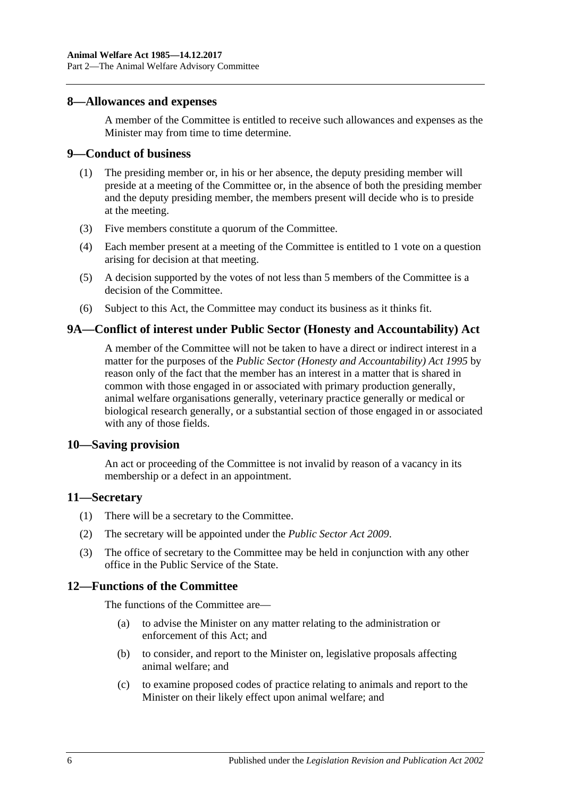### <span id="page-5-0"></span>**8—Allowances and expenses**

A member of the Committee is entitled to receive such allowances and expenses as the Minister may from time to time determine.

### <span id="page-5-1"></span>**9—Conduct of business**

- (1) The presiding member or, in his or her absence, the deputy presiding member will preside at a meeting of the Committee or, in the absence of both the presiding member and the deputy presiding member, the members present will decide who is to preside at the meeting.
- (3) Five members constitute a quorum of the Committee.
- (4) Each member present at a meeting of the Committee is entitled to 1 vote on a question arising for decision at that meeting.
- (5) A decision supported by the votes of not less than 5 members of the Committee is a decision of the Committee.
- (6) Subject to this Act, the Committee may conduct its business as it thinks fit.

### <span id="page-5-2"></span>**9A—Conflict of interest under Public Sector (Honesty and Accountability) Act**

A member of the Committee will not be taken to have a direct or indirect interest in a matter for the purposes of the *[Public Sector \(Honesty and Accountability\) Act](http://www.legislation.sa.gov.au/index.aspx?action=legref&type=act&legtitle=Public%20Sector%20(Honesty%20and%20Accountability)%20Act%201995) 1995* by reason only of the fact that the member has an interest in a matter that is shared in common with those engaged in or associated with primary production generally, animal welfare organisations generally, veterinary practice generally or medical or biological research generally, or a substantial section of those engaged in or associated with any of those fields.

### <span id="page-5-3"></span>**10—Saving provision**

An act or proceeding of the Committee is not invalid by reason of a vacancy in its membership or a defect in an appointment.

### <span id="page-5-4"></span>**11—Secretary**

- (1) There will be a secretary to the Committee.
- (2) The secretary will be appointed under the *[Public Sector Act](http://www.legislation.sa.gov.au/index.aspx?action=legref&type=act&legtitle=Public%20Sector%20Act%202009) 2009*.
- (3) The office of secretary to the Committee may be held in conjunction with any other office in the Public Service of the State.

### <span id="page-5-5"></span>**12—Functions of the Committee**

The functions of the Committee are—

- (a) to advise the Minister on any matter relating to the administration or enforcement of this Act; and
- (b) to consider, and report to the Minister on, legislative proposals affecting animal welfare; and
- (c) to examine proposed codes of practice relating to animals and report to the Minister on their likely effect upon animal welfare; and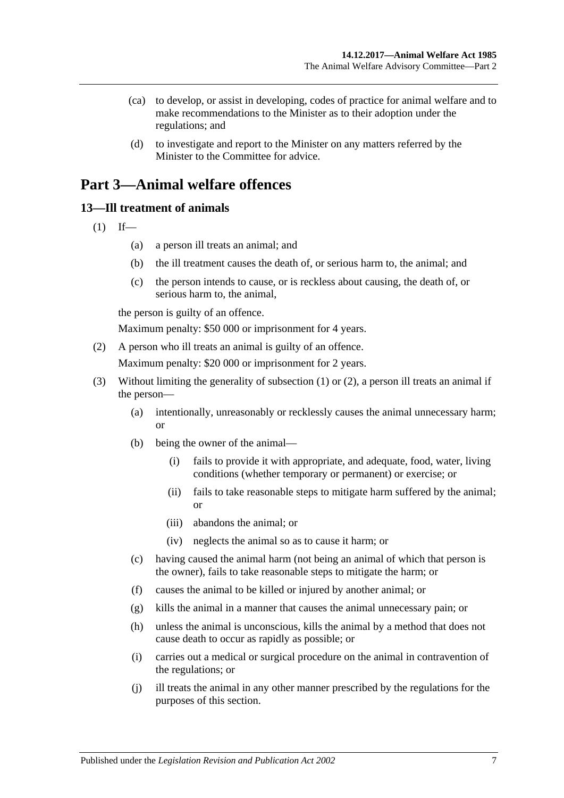- (ca) to develop, or assist in developing, codes of practice for animal welfare and to make recommendations to the Minister as to their adoption under the regulations; and
- (d) to investigate and report to the Minister on any matters referred by the Minister to the Committee for advice.

## <span id="page-6-0"></span>**Part 3—Animal welfare offences**

### <span id="page-6-2"></span><span id="page-6-1"></span>**13—Ill treatment of animals**

- $(1)$  If—
	- (a) a person ill treats an animal; and
	- (b) the ill treatment causes the death of, or serious harm to, the animal; and
	- (c) the person intends to cause, or is reckless about causing, the death of, or serious harm to, the animal,

the person is guilty of an offence.

Maximum penalty: \$50 000 or imprisonment for 4 years.

<span id="page-6-3"></span>(2) A person who ill treats an animal is guilty of an offence.

Maximum penalty: \$20 000 or imprisonment for 2 years.

- (3) Without limiting the generality of [subsection](#page-6-2) (1) or [\(2\),](#page-6-3) a person ill treats an animal if the person—
	- (a) intentionally, unreasonably or recklessly causes the animal unnecessary harm; or
	- (b) being the owner of the animal—
		- (i) fails to provide it with appropriate, and adequate, food, water, living conditions (whether temporary or permanent) or exercise; or
		- (ii) fails to take reasonable steps to mitigate harm suffered by the animal; or
		- (iii) abandons the animal; or
		- (iv) neglects the animal so as to cause it harm; or
	- (c) having caused the animal harm (not being an animal of which that person is the owner), fails to take reasonable steps to mitigate the harm; or
	- (f) causes the animal to be killed or injured by another animal; or
	- (g) kills the animal in a manner that causes the animal unnecessary pain; or
	- (h) unless the animal is unconscious, kills the animal by a method that does not cause death to occur as rapidly as possible; or
	- (i) carries out a medical or surgical procedure on the animal in contravention of the regulations; or
	- (j) ill treats the animal in any other manner prescribed by the regulations for the purposes of this section.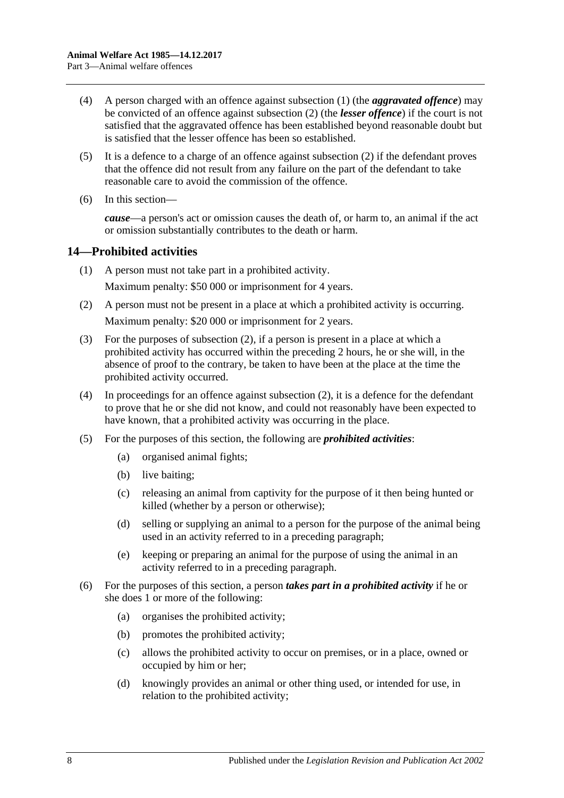- (4) A person charged with an offence against [subsection](#page-6-2) (1) (the *aggravated offence*) may be convicted of an offence against [subsection](#page-6-3) (2) (the *lesser offence*) if the court is not satisfied that the aggravated offence has been established beyond reasonable doubt but is satisfied that the lesser offence has been so established.
- (5) It is a defence to a charge of an offence against [subsection](#page-6-3) (2) if the defendant proves that the offence did not result from any failure on the part of the defendant to take reasonable care to avoid the commission of the offence.
- (6) In this section—

*cause*—a person's act or omission causes the death of, or harm to, an animal if the act or omission substantially contributes to the death or harm.

### <span id="page-7-0"></span>**14—Prohibited activities**

- (1) A person must not take part in a prohibited activity. Maximum penalty: \$50 000 or imprisonment for 4 years.
- <span id="page-7-1"></span>(2) A person must not be present in a place at which a prohibited activity is occurring. Maximum penalty: \$20 000 or imprisonment for 2 years.
- (3) For the purposes of [subsection](#page-7-1) (2), if a person is present in a place at which a prohibited activity has occurred within the preceding 2 hours, he or she will, in the absence of proof to the contrary, be taken to have been at the place at the time the prohibited activity occurred.
- (4) In proceedings for an offence against [subsection](#page-7-1) (2), it is a defence for the defendant to prove that he or she did not know, and could not reasonably have been expected to have known, that a prohibited activity was occurring in the place.
- (5) For the purposes of this section, the following are *prohibited activities*:
	- (a) organised animal fights;
	- (b) live baiting;
	- (c) releasing an animal from captivity for the purpose of it then being hunted or killed (whether by a person or otherwise);
	- (d) selling or supplying an animal to a person for the purpose of the animal being used in an activity referred to in a preceding paragraph;
	- (e) keeping or preparing an animal for the purpose of using the animal in an activity referred to in a preceding paragraph.
- (6) For the purposes of this section, a person *takes part in a prohibited activity* if he or she does 1 or more of the following:
	- (a) organises the prohibited activity;
	- (b) promotes the prohibited activity;
	- (c) allows the prohibited activity to occur on premises, or in a place, owned or occupied by him or her;
	- (d) knowingly provides an animal or other thing used, or intended for use, in relation to the prohibited activity;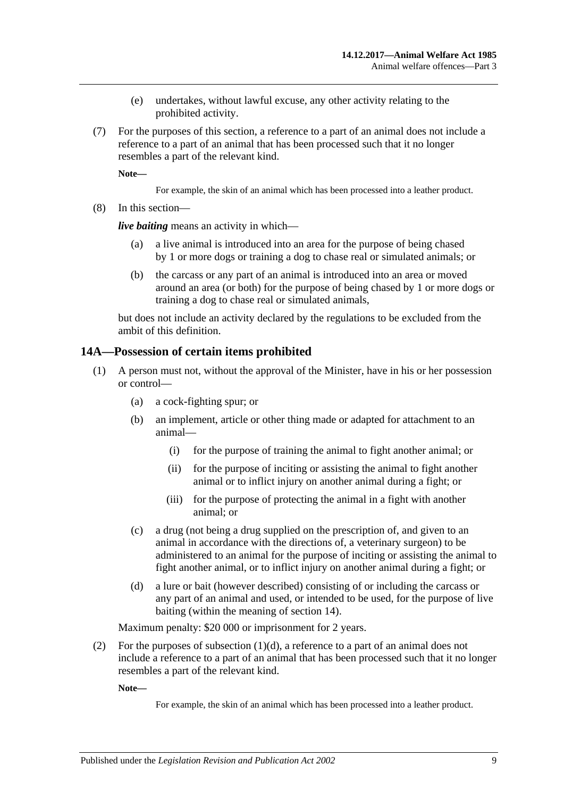- (e) undertakes, without lawful excuse, any other activity relating to the prohibited activity.
- (7) For the purposes of this section, a reference to a part of an animal does not include a reference to a part of an animal that has been processed such that it no longer resembles a part of the relevant kind.

**Note—**

For example, the skin of an animal which has been processed into a leather product.

(8) In this section—

*live baiting* means an activity in which—

- a live animal is introduced into an area for the purpose of being chased by 1 or more dogs or training a dog to chase real or simulated animals; or
- (b) the carcass or any part of an animal is introduced into an area or moved around an area (or both) for the purpose of being chased by 1 or more dogs or training a dog to chase real or simulated animals,

but does not include an activity declared by the regulations to be excluded from the ambit of this definition.

### <span id="page-8-0"></span>**14A—Possession of certain items prohibited**

- (1) A person must not, without the approval of the Minister, have in his or her possession or control—
	- (a) a cock-fighting spur; or
	- (b) an implement, article or other thing made or adapted for attachment to an animal—
		- (i) for the purpose of training the animal to fight another animal; or
		- (ii) for the purpose of inciting or assisting the animal to fight another animal or to inflict injury on another animal during a fight; or
		- (iii) for the purpose of protecting the animal in a fight with another animal; or
	- (c) a drug (not being a drug supplied on the prescription of, and given to an animal in accordance with the directions of, a veterinary surgeon) to be administered to an animal for the purpose of inciting or assisting the animal to fight another animal, or to inflict injury on another animal during a fight; or
	- (d) a lure or bait (however described) consisting of or including the carcass or any part of an animal and used, or intended to be used, for the purpose of live baiting (within the meaning of section 14).

<span id="page-8-1"></span>Maximum penalty: \$20 000 or imprisonment for 2 years.

(2) For the purposes of [subsection](#page-8-1)  $(1)(d)$ , a reference to a part of an animal does not include a reference to a part of an animal that has been processed such that it no longer resembles a part of the relevant kind.

**Note—**

For example, the skin of an animal which has been processed into a leather product.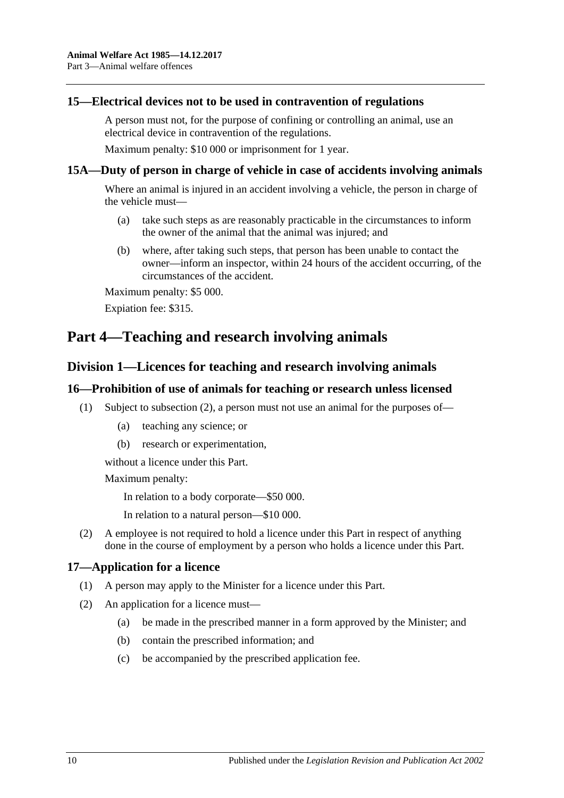### <span id="page-9-0"></span>**15—Electrical devices not to be used in contravention of regulations**

A person must not, for the purpose of confining or controlling an animal, use an electrical device in contravention of the regulations.

Maximum penalty: \$10 000 or imprisonment for 1 year.

### <span id="page-9-1"></span>**15A—Duty of person in charge of vehicle in case of accidents involving animals**

Where an animal is injured in an accident involving a vehicle, the person in charge of the vehicle must—

- (a) take such steps as are reasonably practicable in the circumstances to inform the owner of the animal that the animal was injured; and
- (b) where, after taking such steps, that person has been unable to contact the owner—inform an inspector, within 24 hours of the accident occurring, of the circumstances of the accident.

Maximum penalty: \$5 000.

Expiation fee: \$315.

## <span id="page-9-3"></span><span id="page-9-2"></span>**Part 4—Teaching and research involving animals**

### **Division 1—Licences for teaching and research involving animals**

### <span id="page-9-4"></span>**16—Prohibition of use of animals for teaching or research unless licensed**

- (1) Subject to [subsection](#page-9-6) (2), a person must not use an animal for the purposes of—
	- (a) teaching any science; or
	- (b) research or experimentation,

without a licence under this Part.

Maximum penalty:

In relation to a body corporate—\$50 000.

In relation to a natural person—\$10 000.

<span id="page-9-6"></span>(2) A employee is not required to hold a licence under this Part in respect of anything done in the course of employment by a person who holds a licence under this Part.

### <span id="page-9-5"></span>**17—Application for a licence**

- (1) A person may apply to the Minister for a licence under this Part.
- (2) An application for a licence must—
	- (a) be made in the prescribed manner in a form approved by the Minister; and
	- (b) contain the prescribed information; and
	- (c) be accompanied by the prescribed application fee.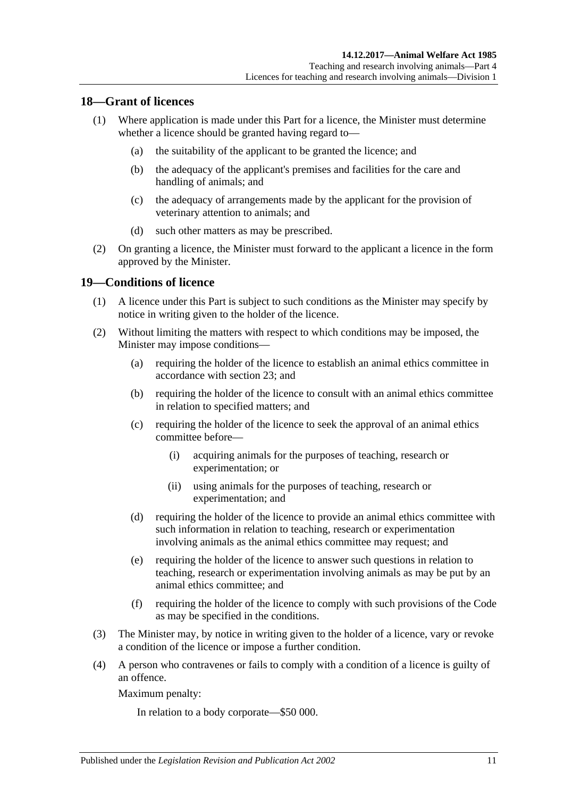### <span id="page-10-0"></span>**18—Grant of licences**

- (1) Where application is made under this Part for a licence, the Minister must determine whether a licence should be granted having regard to—
	- (a) the suitability of the applicant to be granted the licence; and
	- (b) the adequacy of the applicant's premises and facilities for the care and handling of animals; and
	- (c) the adequacy of arrangements made by the applicant for the provision of veterinary attention to animals; and
	- (d) such other matters as may be prescribed.
- (2) On granting a licence, the Minister must forward to the applicant a licence in the form approved by the Minister.

### <span id="page-10-1"></span>**19—Conditions of licence**

- (1) A licence under this Part is subject to such conditions as the Minister may specify by notice in writing given to the holder of the licence.
- (2) Without limiting the matters with respect to which conditions may be imposed, the Minister may impose conditions—
	- (a) requiring the holder of the licence to establish an animal ethics committee in accordance with [section](#page-11-4) 23; and
	- (b) requiring the holder of the licence to consult with an animal ethics committee in relation to specified matters; and
	- (c) requiring the holder of the licence to seek the approval of an animal ethics committee before—
		- (i) acquiring animals for the purposes of teaching, research or experimentation; or
		- (ii) using animals for the purposes of teaching, research or experimentation; and
	- (d) requiring the holder of the licence to provide an animal ethics committee with such information in relation to teaching, research or experimentation involving animals as the animal ethics committee may request; and
	- (e) requiring the holder of the licence to answer such questions in relation to teaching, research or experimentation involving animals as may be put by an animal ethics committee; and
	- (f) requiring the holder of the licence to comply with such provisions of the Code as may be specified in the conditions.
- (3) The Minister may, by notice in writing given to the holder of a licence, vary or revoke a condition of the licence or impose a further condition.
- (4) A person who contravenes or fails to comply with a condition of a licence is guilty of an offence.

Maximum penalty:

In relation to a body corporate—\$50 000.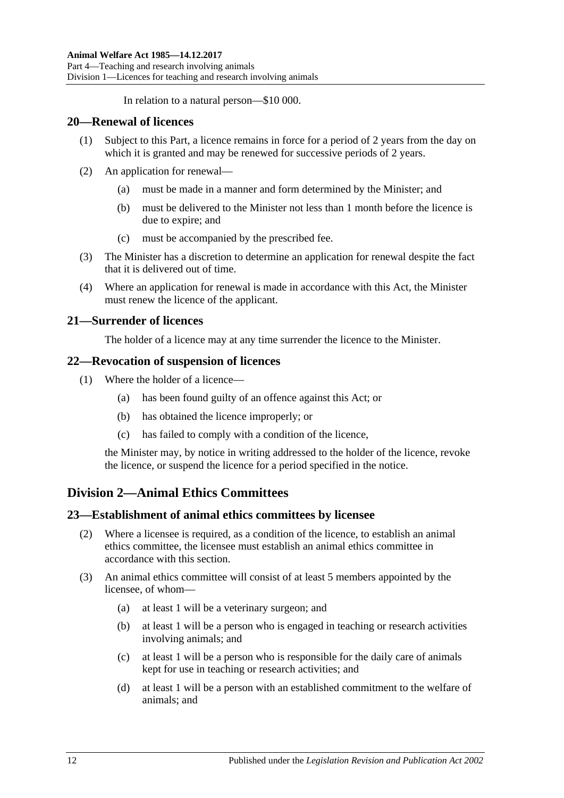In relation to a natural person—\$10 000.

### <span id="page-11-0"></span>**20—Renewal of licences**

- (1) Subject to this Part, a licence remains in force for a period of 2 years from the day on which it is granted and may be renewed for successive periods of 2 years.
- (2) An application for renewal—
	- (a) must be made in a manner and form determined by the Minister; and
	- (b) must be delivered to the Minister not less than 1 month before the licence is due to expire; and
	- (c) must be accompanied by the prescribed fee.
- (3) The Minister has a discretion to determine an application for renewal despite the fact that it is delivered out of time.
- (4) Where an application for renewal is made in accordance with this Act, the Minister must renew the licence of the applicant.

### <span id="page-11-1"></span>**21—Surrender of licences**

The holder of a licence may at any time surrender the licence to the Minister.

### <span id="page-11-2"></span>**22—Revocation of suspension of licences**

- (1) Where the holder of a licence—
	- (a) has been found guilty of an offence against this Act; or
	- (b) has obtained the licence improperly; or
	- (c) has failed to comply with a condition of the licence,

the Minister may, by notice in writing addressed to the holder of the licence, revoke the licence, or suspend the licence for a period specified in the notice.

### <span id="page-11-3"></span>**Division 2—Animal Ethics Committees**

### <span id="page-11-4"></span>**23—Establishment of animal ethics committees by licensee**

- (2) Where a licensee is required, as a condition of the licence, to establish an animal ethics committee, the licensee must establish an animal ethics committee in accordance with this section.
- <span id="page-11-9"></span><span id="page-11-8"></span><span id="page-11-7"></span><span id="page-11-6"></span><span id="page-11-5"></span>(3) An animal ethics committee will consist of at least 5 members appointed by the licensee, of whom—
	- (a) at least 1 will be a veterinary surgeon; and
	- (b) at least 1 will be a person who is engaged in teaching or research activities involving animals; and
	- (c) at least 1 will be a person who is responsible for the daily care of animals kept for use in teaching or research activities; and
	- (d) at least 1 will be a person with an established commitment to the welfare of animals; and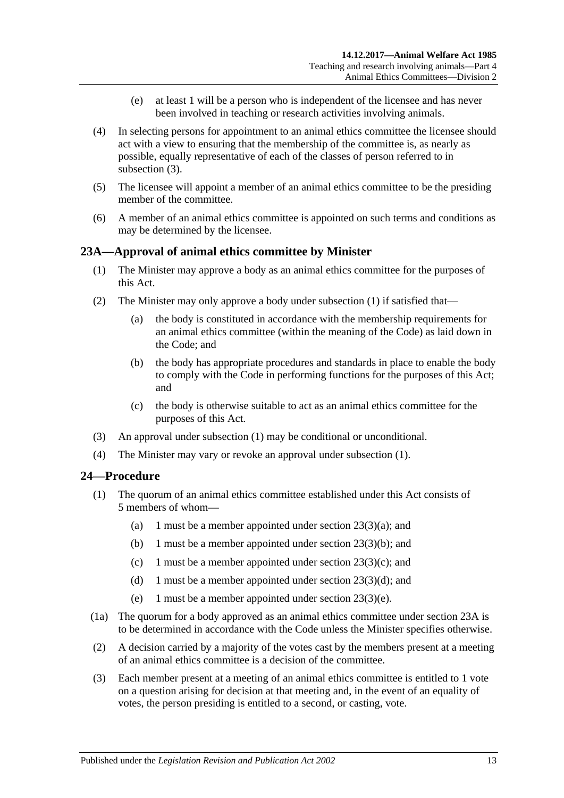- (e) at least 1 will be a person who is independent of the licensee and has never been involved in teaching or research activities involving animals.
- <span id="page-12-3"></span>(4) In selecting persons for appointment to an animal ethics committee the licensee should act with a view to ensuring that the membership of the committee is, as nearly as possible, equally representative of each of the classes of person referred to in [subsection](#page-11-5) (3).
- (5) The licensee will appoint a member of an animal ethics committee to be the presiding member of the committee.
- (6) A member of an animal ethics committee is appointed on such terms and conditions as may be determined by the licensee.

### <span id="page-12-2"></span><span id="page-12-0"></span>**23A—Approval of animal ethics committee by Minister**

- (1) The Minister may approve a body as an animal ethics committee for the purposes of this Act.
- (2) The Minister may only approve a body under [subsection](#page-12-2) (1) if satisfied that—
	- (a) the body is constituted in accordance with the membership requirements for an animal ethics committee (within the meaning of the Code) as laid down in the Code; and
	- (b) the body has appropriate procedures and standards in place to enable the body to comply with the Code in performing functions for the purposes of this Act; and
	- (c) the body is otherwise suitable to act as an animal ethics committee for the purposes of this Act.
- (3) An approval under [subsection](#page-12-2) (1) may be conditional or unconditional.
- (4) The Minister may vary or revoke an approval under [subsection](#page-12-2) (1).

### <span id="page-12-1"></span>**24—Procedure**

- (1) The quorum of an animal ethics committee established under this Act consists of 5 members of whom—
	- (a) 1 must be a member appointed under section  $23(3)(a)$ ; and
	- (b) 1 must be a member appointed under section [23\(3\)\(b\);](#page-11-7) and
	- (c) 1 must be a member appointed under section  $23(3)(c)$ ; and
	- (d) 1 must be a member appointed under section  $23(3)(d)$ ; and
	- (e) 1 must be a member appointed under section [23\(3\)\(e\).](#page-12-3)
- (1a) The quorum for a body approved as an animal ethics committee under [section](#page-12-0) 23A is to be determined in accordance with the Code unless the Minister specifies otherwise.
- (2) A decision carried by a majority of the votes cast by the members present at a meeting of an animal ethics committee is a decision of the committee.
- (3) Each member present at a meeting of an animal ethics committee is entitled to 1 vote on a question arising for decision at that meeting and, in the event of an equality of votes, the person presiding is entitled to a second, or casting, vote.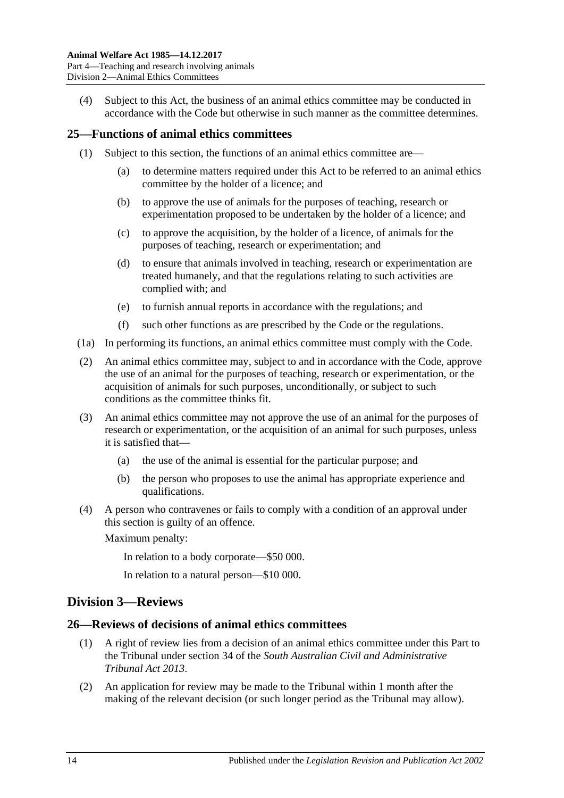(4) Subject to this Act, the business of an animal ethics committee may be conducted in accordance with the Code but otherwise in such manner as the committee determines.

### <span id="page-13-0"></span>**25—Functions of animal ethics committees**

- (1) Subject to this section, the functions of an animal ethics committee are—
	- (a) to determine matters required under this Act to be referred to an animal ethics committee by the holder of a licence; and
	- (b) to approve the use of animals for the purposes of teaching, research or experimentation proposed to be undertaken by the holder of a licence; and
	- (c) to approve the acquisition, by the holder of a licence, of animals for the purposes of teaching, research or experimentation; and
	- (d) to ensure that animals involved in teaching, research or experimentation are treated humanely, and that the regulations relating to such activities are complied with; and
	- (e) to furnish annual reports in accordance with the regulations; and
	- (f) such other functions as are prescribed by the Code or the regulations.
- (1a) In performing its functions, an animal ethics committee must comply with the Code.
- (2) An animal ethics committee may, subject to and in accordance with the Code, approve the use of an animal for the purposes of teaching, research or experimentation, or the acquisition of animals for such purposes, unconditionally, or subject to such conditions as the committee thinks fit.
- (3) An animal ethics committee may not approve the use of an animal for the purposes of research or experimentation, or the acquisition of an animal for such purposes, unless it is satisfied that—
	- (a) the use of the animal is essential for the particular purpose; and
	- (b) the person who proposes to use the animal has appropriate experience and qualifications.
- (4) A person who contravenes or fails to comply with a condition of an approval under this section is guilty of an offence.

Maximum penalty:

In relation to a body corporate—\$50 000.

In relation to a natural person—\$10 000.

### <span id="page-13-1"></span>**Division 3—Reviews**

### <span id="page-13-2"></span>**26—Reviews of decisions of animal ethics committees**

- (1) A right of review lies from a decision of an animal ethics committee under this Part to the Tribunal under section 34 of the *[South Australian Civil and Administrative](http://www.legislation.sa.gov.au/index.aspx?action=legref&type=act&legtitle=South%20Australian%20Civil%20and%20Administrative%20Tribunal%20Act%202013)  [Tribunal Act](http://www.legislation.sa.gov.au/index.aspx?action=legref&type=act&legtitle=South%20Australian%20Civil%20and%20Administrative%20Tribunal%20Act%202013) 2013*.
- (2) An application for review may be made to the Tribunal within 1 month after the making of the relevant decision (or such longer period as the Tribunal may allow).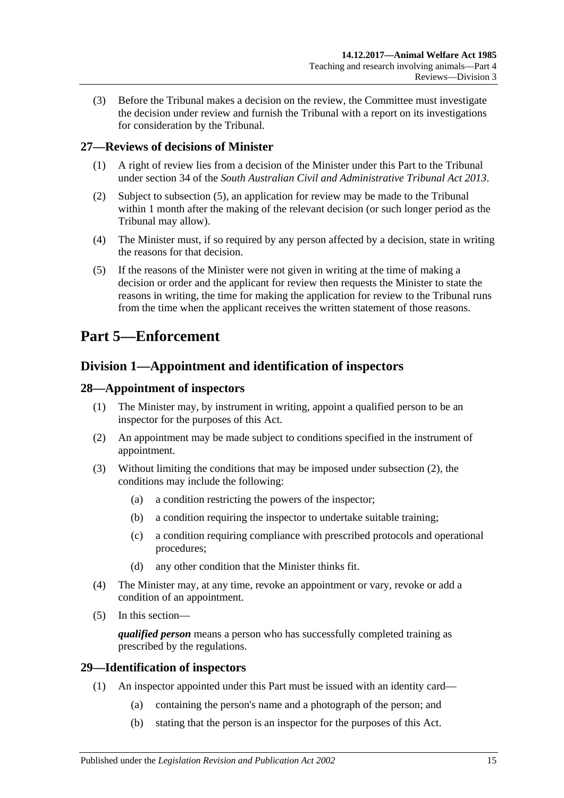(3) Before the Tribunal makes a decision on the review, the Committee must investigate the decision under review and furnish the Tribunal with a report on its investigations for consideration by the Tribunal.

### <span id="page-14-0"></span>**27—Reviews of decisions of Minister**

- (1) A right of review lies from a decision of the Minister under this Part to the Tribunal under section 34 of the *[South Australian Civil and Administrative Tribunal Act](http://www.legislation.sa.gov.au/index.aspx?action=legref&type=act&legtitle=South%20Australian%20Civil%20and%20Administrative%20Tribunal%20Act%202013) 2013*.
- (2) Subject to subsection (5), an application for review may be made to the Tribunal within 1 month after the making of the relevant decision (or such longer period as the Tribunal may allow).
- (4) The Minister must, if so required by any person affected by a decision, state in writing the reasons for that decision.
- (5) If the reasons of the Minister were not given in writing at the time of making a decision or order and the applicant for review then requests the Minister to state the reasons in writing, the time for making the application for review to the Tribunal runs from the time when the applicant receives the written statement of those reasons.

## <span id="page-14-1"></span>**Part 5—Enforcement**

## <span id="page-14-2"></span>**Division 1—Appointment and identification of inspectors**

### <span id="page-14-3"></span>**28—Appointment of inspectors**

- (1) The Minister may, by instrument in writing, appoint a qualified person to be an inspector for the purposes of this Act.
- <span id="page-14-5"></span>(2) An appointment may be made subject to conditions specified in the instrument of appointment.
- (3) Without limiting the conditions that may be imposed under [subsection](#page-14-5) (2), the conditions may include the following:
	- (a) a condition restricting the powers of the inspector;
	- (b) a condition requiring the inspector to undertake suitable training;
	- (c) a condition requiring compliance with prescribed protocols and operational procedures;
	- (d) any other condition that the Minister thinks fit.
- (4) The Minister may, at any time, revoke an appointment or vary, revoke or add a condition of an appointment.
- (5) In this section—

*qualified person* means a person who has successfully completed training as prescribed by the regulations.

### <span id="page-14-4"></span>**29—Identification of inspectors**

- (1) An inspector appointed under this Part must be issued with an identity card—
	- (a) containing the person's name and a photograph of the person; and
	- (b) stating that the person is an inspector for the purposes of this Act.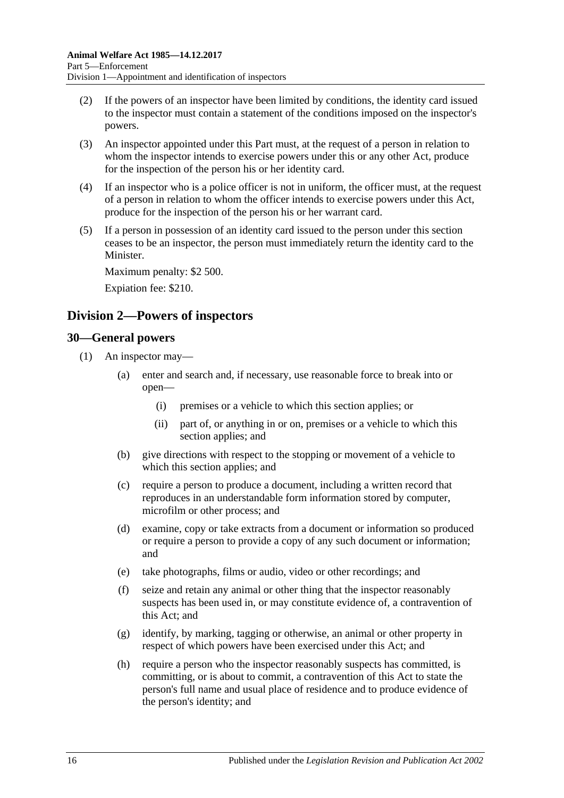- (2) If the powers of an inspector have been limited by conditions, the identity card issued to the inspector must contain a statement of the conditions imposed on the inspector's powers.
- (3) An inspector appointed under this Part must, at the request of a person in relation to whom the inspector intends to exercise powers under this or any other Act, produce for the inspection of the person his or her identity card.
- (4) If an inspector who is a police officer is not in uniform, the officer must, at the request of a person in relation to whom the officer intends to exercise powers under this Act, produce for the inspection of the person his or her warrant card.
- (5) If a person in possession of an identity card issued to the person under this section ceases to be an inspector, the person must immediately return the identity card to the Minister.

Maximum penalty: \$2 500. Expiation fee: \$210.

## <span id="page-15-0"></span>**Division 2—Powers of inspectors**

### <span id="page-15-2"></span><span id="page-15-1"></span>**30—General powers**

<span id="page-15-3"></span>(1) An inspector may—

- (a) enter and search and, if necessary, use reasonable force to break into or open—
	- (i) premises or a vehicle to which this section applies; or
	- (ii) part of, or anything in or on, premises or a vehicle to which this section applies; and
- (b) give directions with respect to the stopping or movement of a vehicle to which this section applies; and
- (c) require a person to produce a document, including a written record that reproduces in an understandable form information stored by computer, microfilm or other process; and
- (d) examine, copy or take extracts from a document or information so produced or require a person to provide a copy of any such document or information; and
- (e) take photographs, films or audio, video or other recordings; and
- (f) seize and retain any animal or other thing that the inspector reasonably suspects has been used in, or may constitute evidence of, a contravention of this Act; and
- (g) identify, by marking, tagging or otherwise, an animal or other property in respect of which powers have been exercised under this Act; and
- (h) require a person who the inspector reasonably suspects has committed, is committing, or is about to commit, a contravention of this Act to state the person's full name and usual place of residence and to produce evidence of the person's identity; and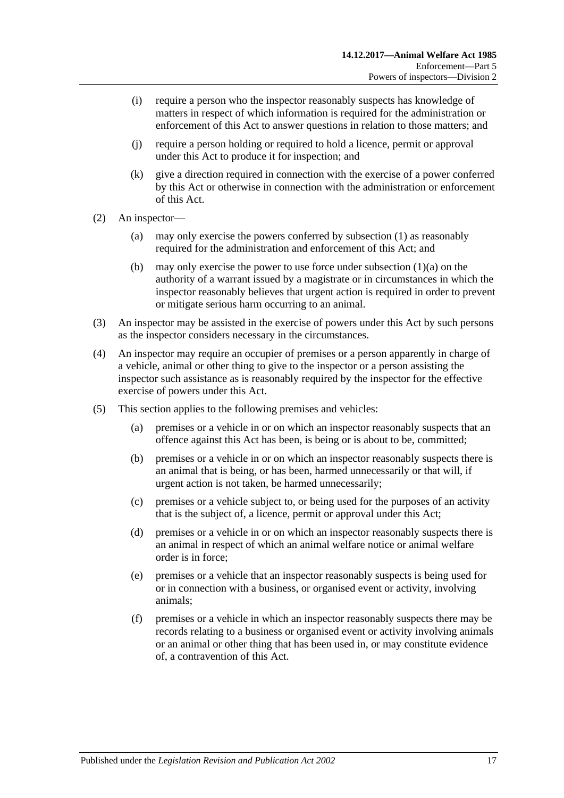- (i) require a person who the inspector reasonably suspects has knowledge of matters in respect of which information is required for the administration or enforcement of this Act to answer questions in relation to those matters; and
- (j) require a person holding or required to hold a licence, permit or approval under this Act to produce it for inspection; and
- (k) give a direction required in connection with the exercise of a power conferred by this Act or otherwise in connection with the administration or enforcement of this Act.
- (2) An inspector—
	- (a) may only exercise the powers conferred by [subsection](#page-15-2) (1) as reasonably required for the administration and enforcement of this Act; and
	- (b) may only exercise the power to use force under [subsection](#page-15-3)  $(1)(a)$  on the authority of a warrant issued by a magistrate or in circumstances in which the inspector reasonably believes that urgent action is required in order to prevent or mitigate serious harm occurring to an animal.
- (3) An inspector may be assisted in the exercise of powers under this Act by such persons as the inspector considers necessary in the circumstances.
- (4) An inspector may require an occupier of premises or a person apparently in charge of a vehicle, animal or other thing to give to the inspector or a person assisting the inspector such assistance as is reasonably required by the inspector for the effective exercise of powers under this Act.
- (5) This section applies to the following premises and vehicles:
	- (a) premises or a vehicle in or on which an inspector reasonably suspects that an offence against this Act has been, is being or is about to be, committed;
	- (b) premises or a vehicle in or on which an inspector reasonably suspects there is an animal that is being, or has been, harmed unnecessarily or that will, if urgent action is not taken, be harmed unnecessarily;
	- (c) premises or a vehicle subject to, or being used for the purposes of an activity that is the subject of, a licence, permit or approval under this Act;
	- (d) premises or a vehicle in or on which an inspector reasonably suspects there is an animal in respect of which an animal welfare notice or animal welfare order is in force;
	- (e) premises or a vehicle that an inspector reasonably suspects is being used for or in connection with a business, or organised event or activity, involving animals;
	- (f) premises or a vehicle in which an inspector reasonably suspects there may be records relating to a business or organised event or activity involving animals or an animal or other thing that has been used in, or may constitute evidence of, a contravention of this Act.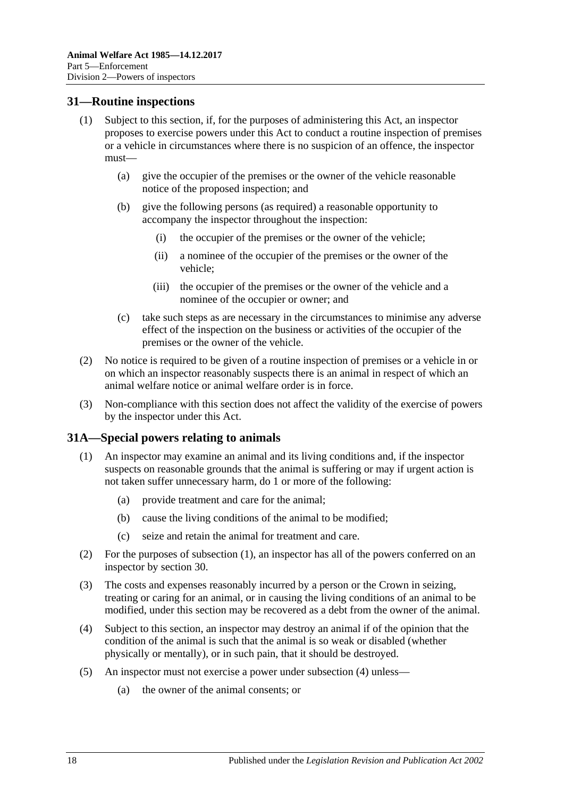### <span id="page-17-0"></span>**31—Routine inspections**

- (1) Subject to this section, if, for the purposes of administering this Act, an inspector proposes to exercise powers under this Act to conduct a routine inspection of premises or a vehicle in circumstances where there is no suspicion of an offence, the inspector must—
	- (a) give the occupier of the premises or the owner of the vehicle reasonable notice of the proposed inspection; and
	- (b) give the following persons (as required) a reasonable opportunity to accompany the inspector throughout the inspection:
		- (i) the occupier of the premises or the owner of the vehicle;
		- (ii) a nominee of the occupier of the premises or the owner of the vehicle;
		- (iii) the occupier of the premises or the owner of the vehicle and a nominee of the occupier or owner; and
	- (c) take such steps as are necessary in the circumstances to minimise any adverse effect of the inspection on the business or activities of the occupier of the premises or the owner of the vehicle.
- (2) No notice is required to be given of a routine inspection of premises or a vehicle in or on which an inspector reasonably suspects there is an animal in respect of which an animal welfare notice or animal welfare order is in force.
- (3) Non-compliance with this section does not affect the validity of the exercise of powers by the inspector under this Act.

### <span id="page-17-2"></span><span id="page-17-1"></span>**31A—Special powers relating to animals**

- (1) An inspector may examine an animal and its living conditions and, if the inspector suspects on reasonable grounds that the animal is suffering or may if urgent action is not taken suffer unnecessary harm, do 1 or more of the following:
	- (a) provide treatment and care for the animal;
	- (b) cause the living conditions of the animal to be modified;
	- (c) seize and retain the animal for treatment and care.
- (2) For the purposes of [subsection](#page-17-2) (1), an inspector has all of the powers conferred on an inspector by [section](#page-15-1) 30.
- (3) The costs and expenses reasonably incurred by a person or the Crown in seizing, treating or caring for an animal, or in causing the living conditions of an animal to be modified, under this section may be recovered as a debt from the owner of the animal.
- <span id="page-17-3"></span>(4) Subject to this section, an inspector may destroy an animal if of the opinion that the condition of the animal is such that the animal is so weak or disabled (whether physically or mentally), or in such pain, that it should be destroyed.
- (5) An inspector must not exercise a power under [subsection](#page-17-3) (4) unless—
	- (a) the owner of the animal consents; or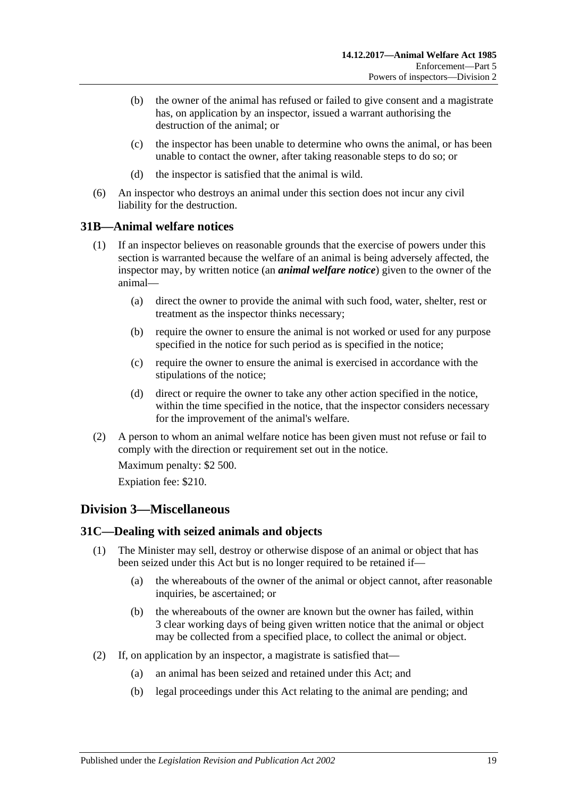- (b) the owner of the animal has refused or failed to give consent and a magistrate has, on application by an inspector, issued a warrant authorising the destruction of the animal; or
- (c) the inspector has been unable to determine who owns the animal, or has been unable to contact the owner, after taking reasonable steps to do so; or
- (d) the inspector is satisfied that the animal is wild.
- (6) An inspector who destroys an animal under this section does not incur any civil liability for the destruction.

### <span id="page-18-0"></span>**31B—Animal welfare notices**

- (1) If an inspector believes on reasonable grounds that the exercise of powers under this section is warranted because the welfare of an animal is being adversely affected, the inspector may, by written notice (an *animal welfare notice*) given to the owner of the animal—
	- (a) direct the owner to provide the animal with such food, water, shelter, rest or treatment as the inspector thinks necessary;
	- (b) require the owner to ensure the animal is not worked or used for any purpose specified in the notice for such period as is specified in the notice;
	- (c) require the owner to ensure the animal is exercised in accordance with the stipulations of the notice;
	- (d) direct or require the owner to take any other action specified in the notice, within the time specified in the notice, that the inspector considers necessary for the improvement of the animal's welfare.
- (2) A person to whom an animal welfare notice has been given must not refuse or fail to comply with the direction or requirement set out in the notice.

Maximum penalty: \$2 500.

Expiation fee: \$210.

### <span id="page-18-1"></span>**Division 3—Miscellaneous**

### <span id="page-18-2"></span>**31C—Dealing with seized animals and objects**

- (1) The Minister may sell, destroy or otherwise dispose of an animal or object that has been seized under this Act but is no longer required to be retained if—
	- (a) the whereabouts of the owner of the animal or object cannot, after reasonable inquiries, be ascertained; or
	- (b) the whereabouts of the owner are known but the owner has failed, within 3 clear working days of being given written notice that the animal or object may be collected from a specified place, to collect the animal or object.
- <span id="page-18-3"></span>(2) If, on application by an inspector, a magistrate is satisfied that—
	- (a) an animal has been seized and retained under this Act; and
	- (b) legal proceedings under this Act relating to the animal are pending; and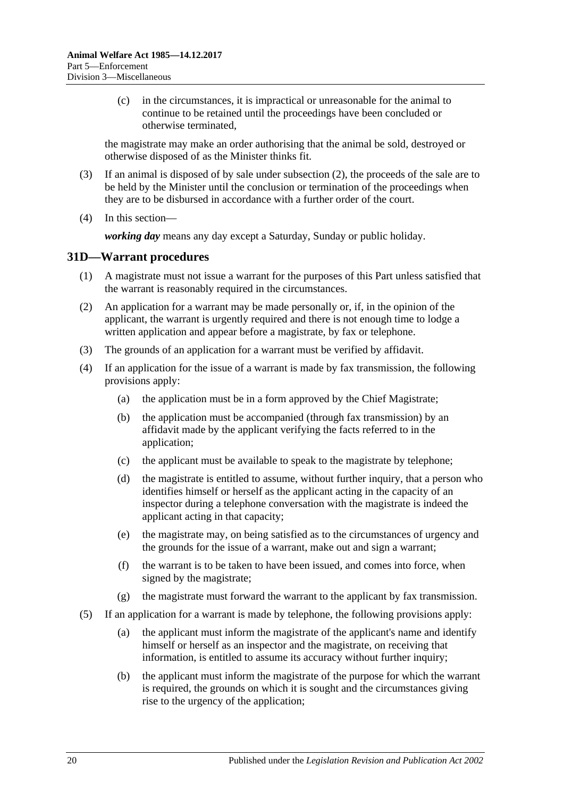(c) in the circumstances, it is impractical or unreasonable for the animal to continue to be retained until the proceedings have been concluded or otherwise terminated,

the magistrate may make an order authorising that the animal be sold, destroyed or otherwise disposed of as the Minister thinks fit.

- (3) If an animal is disposed of by sale under [subsection](#page-18-3) (2), the proceeds of the sale are to be held by the Minister until the conclusion or termination of the proceedings when they are to be disbursed in accordance with a further order of the court.
- (4) In this section—

*working day* means any day except a Saturday, Sunday or public holiday.

### <span id="page-19-0"></span>**31D—Warrant procedures**

- (1) A magistrate must not issue a warrant for the purposes of this Part unless satisfied that the warrant is reasonably required in the circumstances.
- (2) An application for a warrant may be made personally or, if, in the opinion of the applicant, the warrant is urgently required and there is not enough time to lodge a written application and appear before a magistrate, by fax or telephone.
- (3) The grounds of an application for a warrant must be verified by affidavit.
- (4) If an application for the issue of a warrant is made by fax transmission, the following provisions apply:
	- (a) the application must be in a form approved by the Chief Magistrate;
	- (b) the application must be accompanied (through fax transmission) by an affidavit made by the applicant verifying the facts referred to in the application;
	- (c) the applicant must be available to speak to the magistrate by telephone;
	- (d) the magistrate is entitled to assume, without further inquiry, that a person who identifies himself or herself as the applicant acting in the capacity of an inspector during a telephone conversation with the magistrate is indeed the applicant acting in that capacity;
	- (e) the magistrate may, on being satisfied as to the circumstances of urgency and the grounds for the issue of a warrant, make out and sign a warrant;
	- (f) the warrant is to be taken to have been issued, and comes into force, when signed by the magistrate;
	- $(g)$  the magistrate must forward the warrant to the applicant by fax transmission.
- (5) If an application for a warrant is made by telephone, the following provisions apply:
	- (a) the applicant must inform the magistrate of the applicant's name and identify himself or herself as an inspector and the magistrate, on receiving that information, is entitled to assume its accuracy without further inquiry;
	- (b) the applicant must inform the magistrate of the purpose for which the warrant is required, the grounds on which it is sought and the circumstances giving rise to the urgency of the application;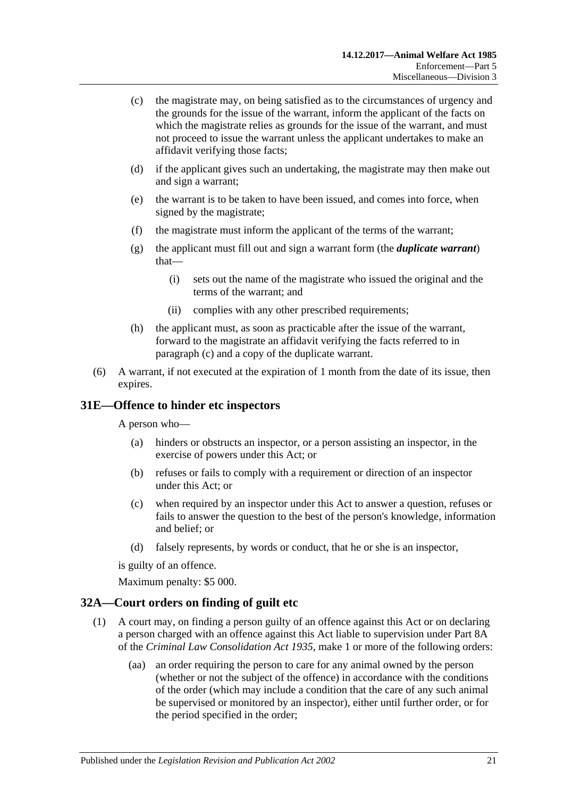- <span id="page-20-2"></span>(c) the magistrate may, on being satisfied as to the circumstances of urgency and the grounds for the issue of the warrant, inform the applicant of the facts on which the magistrate relies as grounds for the issue of the warrant, and must not proceed to issue the warrant unless the applicant undertakes to make an affidavit verifying those facts;
- (d) if the applicant gives such an undertaking, the magistrate may then make out and sign a warrant;
- (e) the warrant is to be taken to have been issued, and comes into force, when signed by the magistrate;
- (f) the magistrate must inform the applicant of the terms of the warrant;
- (g) the applicant must fill out and sign a warrant form (the *duplicate warrant*) that—
	- (i) sets out the name of the magistrate who issued the original and the terms of the warrant; and
	- (ii) complies with any other prescribed requirements;
- (h) the applicant must, as soon as practicable after the issue of the warrant, forward to the magistrate an affidavit verifying the facts referred to in [paragraph](#page-20-2) (c) and a copy of the duplicate warrant.
- (6) A warrant, if not executed at the expiration of 1 month from the date of its issue, then expires.

### <span id="page-20-0"></span>**31E—Offence to hinder etc inspectors**

A person who—

- (a) hinders or obstructs an inspector, or a person assisting an inspector, in the exercise of powers under this Act; or
- (b) refuses or fails to comply with a requirement or direction of an inspector under this Act; or
- (c) when required by an inspector under this Act to answer a question, refuses or fails to answer the question to the best of the person's knowledge, information and belief; or
- (d) falsely represents, by words or conduct, that he or she is an inspector,

is guilty of an offence.

Maximum penalty: \$5 000.

### <span id="page-20-3"></span><span id="page-20-1"></span>**32A—Court orders on finding of guilt etc**

- (1) A court may, on finding a person guilty of an offence against this Act or on declaring a person charged with an offence against this Act liable to supervision under Part 8A of the *[Criminal Law Consolidation Act](http://www.legislation.sa.gov.au/index.aspx?action=legref&type=act&legtitle=Criminal%20Law%20Consolidation%20Act%201935) 1935*, make 1 or more of the following orders:
	- (aa) an order requiring the person to care for any animal owned by the person (whether or not the subject of the offence) in accordance with the conditions of the order (which may include a condition that the care of any such animal be supervised or monitored by an inspector), either until further order, or for the period specified in the order;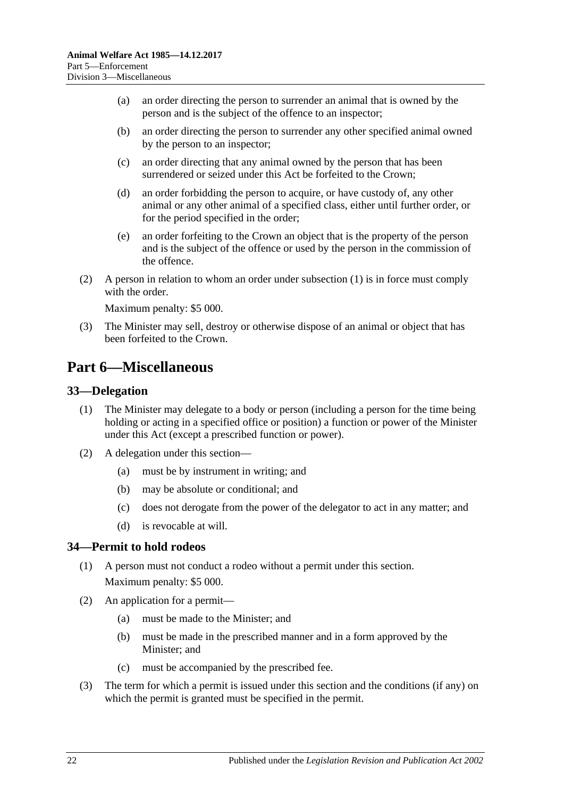- (a) an order directing the person to surrender an animal that is owned by the person and is the subject of the offence to an inspector;
- (b) an order directing the person to surrender any other specified animal owned by the person to an inspector;
- (c) an order directing that any animal owned by the person that has been surrendered or seized under this Act be forfeited to the Crown;
- (d) an order forbidding the person to acquire, or have custody of, any other animal or any other animal of a specified class, either until further order, or for the period specified in the order;
- (e) an order forfeiting to the Crown an object that is the property of the person and is the subject of the offence or used by the person in the commission of the offence.
- (2) A person in relation to whom an order under [subsection](#page-20-3) (1) is in force must comply with the order.

Maximum penalty: \$5 000.

(3) The Minister may sell, destroy or otherwise dispose of an animal or object that has been forfeited to the Crown.

## <span id="page-21-0"></span>**Part 6—Miscellaneous**

### <span id="page-21-1"></span>**33—Delegation**

- (1) The Minister may delegate to a body or person (including a person for the time being holding or acting in a specified office or position) a function or power of the Minister under this Act (except a prescribed function or power).
- (2) A delegation under this section—
	- (a) must be by instrument in writing; and
	- (b) may be absolute or conditional; and
	- (c) does not derogate from the power of the delegator to act in any matter; and
	- (d) is revocable at will.

### <span id="page-21-2"></span>**34—Permit to hold rodeos**

- (1) A person must not conduct a rodeo without a permit under this section. Maximum penalty: \$5 000.
- (2) An application for a permit—
	- (a) must be made to the Minister; and
	- (b) must be made in the prescribed manner and in a form approved by the Minister; and
	- (c) must be accompanied by the prescribed fee.
- (3) The term for which a permit is issued under this section and the conditions (if any) on which the permit is granted must be specified in the permit.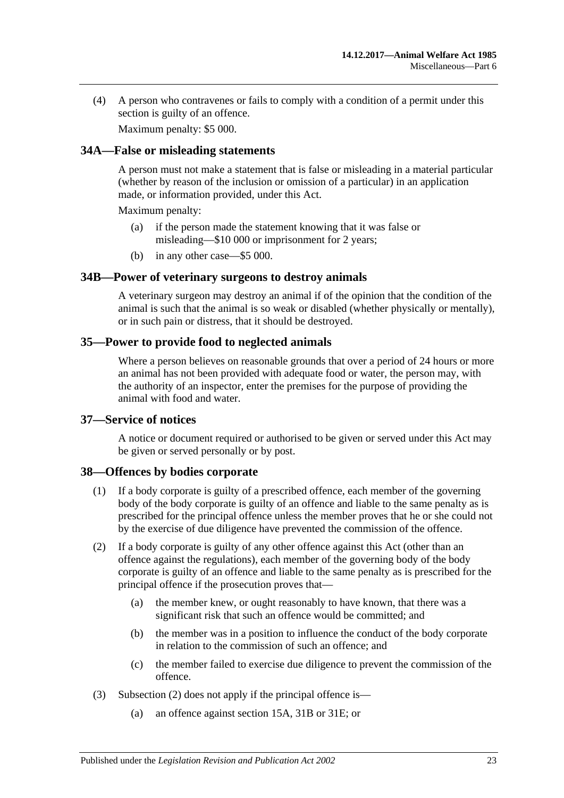(4) A person who contravenes or fails to comply with a condition of a permit under this section is guilty of an offence.

Maximum penalty: \$5 000.

### <span id="page-22-0"></span>**34A—False or misleading statements**

A person must not make a statement that is false or misleading in a material particular (whether by reason of the inclusion or omission of a particular) in an application made, or information provided, under this Act.

Maximum penalty:

- (a) if the person made the statement knowing that it was false or misleading—\$10 000 or imprisonment for 2 years;
- (b) in any other case—\$5 000.

### <span id="page-22-1"></span>**34B—Power of veterinary surgeons to destroy animals**

A veterinary surgeon may destroy an animal if of the opinion that the condition of the animal is such that the animal is so weak or disabled (whether physically or mentally), or in such pain or distress, that it should be destroyed.

### <span id="page-22-2"></span>**35—Power to provide food to neglected animals**

Where a person believes on reasonable grounds that over a period of 24 hours or more an animal has not been provided with adequate food or water, the person may, with the authority of an inspector, enter the premises for the purpose of providing the animal with food and water.

### <span id="page-22-3"></span>**37—Service of notices**

A notice or document required or authorised to be given or served under this Act may be given or served personally or by post.

### <span id="page-22-4"></span>**38—Offences by bodies corporate**

- (1) If a body corporate is guilty of a prescribed offence, each member of the governing body of the body corporate is guilty of an offence and liable to the same penalty as is prescribed for the principal offence unless the member proves that he or she could not by the exercise of due diligence have prevented the commission of the offence.
- <span id="page-22-5"></span>(2) If a body corporate is guilty of any other offence against this Act (other than an offence against the regulations), each member of the governing body of the body corporate is guilty of an offence and liable to the same penalty as is prescribed for the principal offence if the prosecution proves that—
	- (a) the member knew, or ought reasonably to have known, that there was a significant risk that such an offence would be committed; and
	- (b) the member was in a position to influence the conduct of the body corporate in relation to the commission of such an offence; and
	- (c) the member failed to exercise due diligence to prevent the commission of the offence.
- (3) [Subsection](#page-22-5) (2) does not apply if the principal offence is—
	- (a) an offence against [section](#page-9-1) 15A, [31B](#page-18-0) or [31E;](#page-20-0) or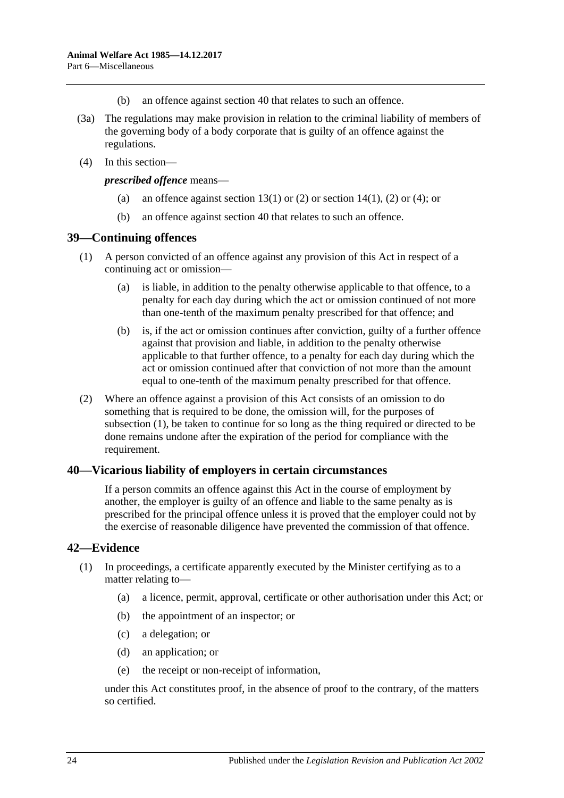- (b) an offence against [section](#page-23-1) 40 that relates to such an offence.
- (3a) The regulations may make provision in relation to the criminal liability of members of the governing body of a body corporate that is guilty of an offence against the regulations.
- (4) In this section—

*prescribed offence* means—

- (a) an offence against [section](#page-6-2) 13(1) or [\(2\)](#page-6-3) or section 14(1), (2) or (4); or
- (b) an offence against [section](#page-23-1) 40 that relates to such an offence.

### <span id="page-23-3"></span><span id="page-23-0"></span>**39—Continuing offences**

- (1) A person convicted of an offence against any provision of this Act in respect of a continuing act or omission—
	- (a) is liable, in addition to the penalty otherwise applicable to that offence, to a penalty for each day during which the act or omission continued of not more than one-tenth of the maximum penalty prescribed for that offence; and
	- (b) is, if the act or omission continues after conviction, guilty of a further offence against that provision and liable, in addition to the penalty otherwise applicable to that further offence, to a penalty for each day during which the act or omission continued after that conviction of not more than the amount equal to one-tenth of the maximum penalty prescribed for that offence.
- (2) Where an offence against a provision of this Act consists of an omission to do something that is required to be done, the omission will, for the purposes of [subsection](#page-23-3) (1), be taken to continue for so long as the thing required or directed to be done remains undone after the expiration of the period for compliance with the requirement.

### <span id="page-23-1"></span>**40—Vicarious liability of employers in certain circumstances**

If a person commits an offence against this Act in the course of employment by another, the employer is guilty of an offence and liable to the same penalty as is prescribed for the principal offence unless it is proved that the employer could not by the exercise of reasonable diligence have prevented the commission of that offence.

### <span id="page-23-2"></span>**42—Evidence**

- (1) In proceedings, a certificate apparently executed by the Minister certifying as to a matter relating to—
	- (a) a licence, permit, approval, certificate or other authorisation under this Act; or
	- (b) the appointment of an inspector; or
	- (c) a delegation; or
	- (d) an application; or
	- (e) the receipt or non-receipt of information,

under this Act constitutes proof, in the absence of proof to the contrary, of the matters so certified.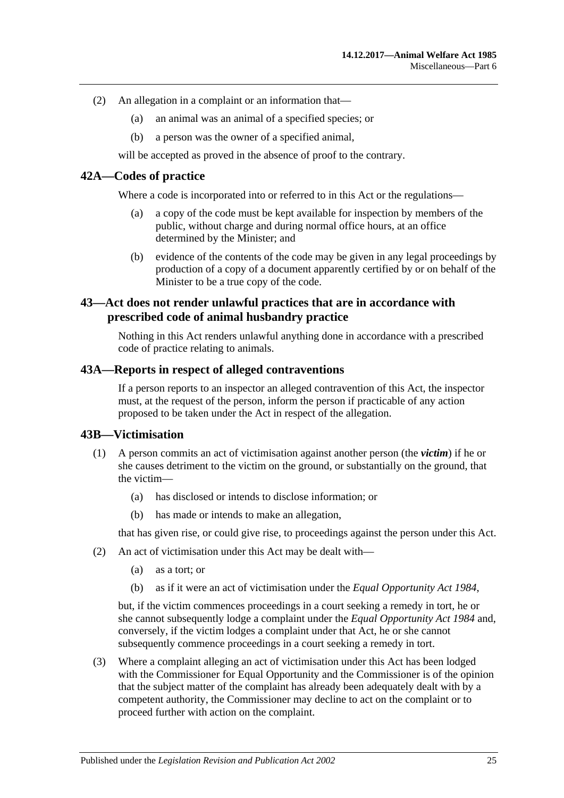- (2) An allegation in a complaint or an information that—
	- (a) an animal was an animal of a specified species; or
	- (b) a person was the owner of a specified animal,

will be accepted as proved in the absence of proof to the contrary.

### <span id="page-24-0"></span>**42A—Codes of practice**

Where a code is incorporated into or referred to in this Act or the regulations—

- (a) a copy of the code must be kept available for inspection by members of the public, without charge and during normal office hours, at an office determined by the Minister; and
- (b) evidence of the contents of the code may be given in any legal proceedings by production of a copy of a document apparently certified by or on behalf of the Minister to be a true copy of the code.

### <span id="page-24-1"></span>**43—Act does not render unlawful practices that are in accordance with prescribed code of animal husbandry practice**

Nothing in this Act renders unlawful anything done in accordance with a prescribed code of practice relating to animals.

### <span id="page-24-2"></span>**43A—Reports in respect of alleged contraventions**

If a person reports to an inspector an alleged contravention of this Act, the inspector must, at the request of the person, inform the person if practicable of any action proposed to be taken under the Act in respect of the allegation.

### <span id="page-24-3"></span>**43B—Victimisation**

- (1) A person commits an act of victimisation against another person (the *victim*) if he or she causes detriment to the victim on the ground, or substantially on the ground, that the victim—
	- (a) has disclosed or intends to disclose information; or
	- (b) has made or intends to make an allegation,

that has given rise, or could give rise, to proceedings against the person under this Act.

- (2) An act of victimisation under this Act may be dealt with—
	- (a) as a tort; or
	- (b) as if it were an act of victimisation under the *[Equal Opportunity Act](http://www.legislation.sa.gov.au/index.aspx?action=legref&type=act&legtitle=Equal%20Opportunity%20Act%201984) 1984*,

but, if the victim commences proceedings in a court seeking a remedy in tort, he or she cannot subsequently lodge a complaint under the *[Equal Opportunity Act](http://www.legislation.sa.gov.au/index.aspx?action=legref&type=act&legtitle=Equal%20Opportunity%20Act%201984) 1984* and, conversely, if the victim lodges a complaint under that Act, he or she cannot subsequently commence proceedings in a court seeking a remedy in tort.

(3) Where a complaint alleging an act of victimisation under this Act has been lodged with the Commissioner for Equal Opportunity and the Commissioner is of the opinion that the subject matter of the complaint has already been adequately dealt with by a competent authority, the Commissioner may decline to act on the complaint or to proceed further with action on the complaint.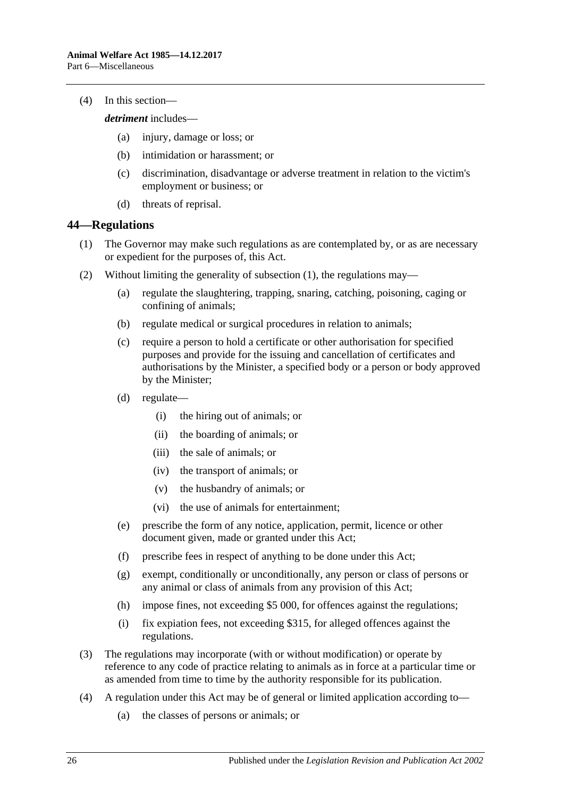(4) In this section—

*detriment* includes—

- (a) injury, damage or loss; or
- (b) intimidation or harassment; or
- (c) discrimination, disadvantage or adverse treatment in relation to the victim's employment or business; or
- (d) threats of reprisal.

### <span id="page-25-1"></span><span id="page-25-0"></span>**44—Regulations**

- (1) The Governor may make such regulations as are contemplated by, or as are necessary or expedient for the purposes of, this Act.
- (2) Without limiting the generality of [subsection](#page-25-1) (1), the regulations may—
	- (a) regulate the slaughtering, trapping, snaring, catching, poisoning, caging or confining of animals;
	- (b) regulate medical or surgical procedures in relation to animals;
	- (c) require a person to hold a certificate or other authorisation for specified purposes and provide for the issuing and cancellation of certificates and authorisations by the Minister, a specified body or a person or body approved by the Minister;
	- (d) regulate—
		- (i) the hiring out of animals; or
		- (ii) the boarding of animals; or
		- (iii) the sale of animals; or
		- (iv) the transport of animals; or
		- (v) the husbandry of animals; or
		- (vi) the use of animals for entertainment;
	- (e) prescribe the form of any notice, application, permit, licence or other document given, made or granted under this Act;
	- (f) prescribe fees in respect of anything to be done under this Act;
	- (g) exempt, conditionally or unconditionally, any person or class of persons or any animal or class of animals from any provision of this Act;
	- (h) impose fines, not exceeding \$5 000, for offences against the regulations;
	- (i) fix expiation fees, not exceeding \$315, for alleged offences against the regulations.
- (3) The regulations may incorporate (with or without modification) or operate by reference to any code of practice relating to animals as in force at a particular time or as amended from time to time by the authority responsible for its publication.
- (4) A regulation under this Act may be of general or limited application according to—
	- (a) the classes of persons or animals; or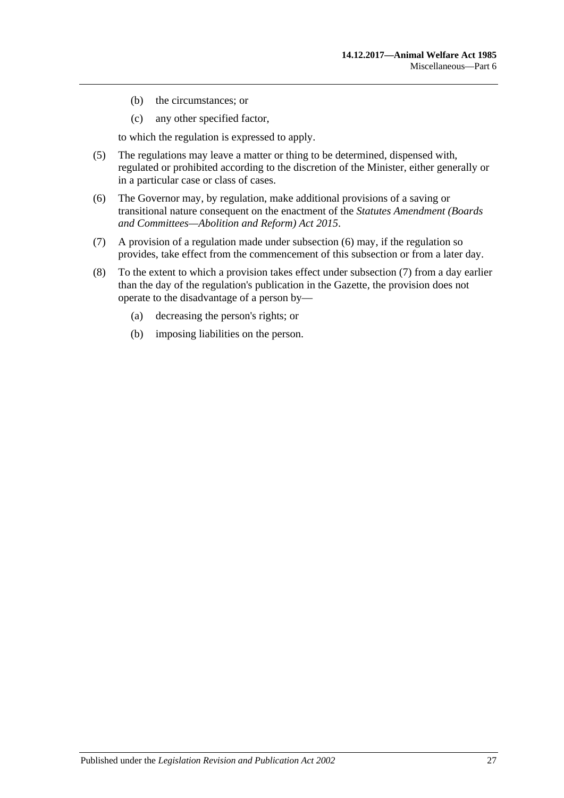- (b) the circumstances; or
- (c) any other specified factor,

to which the regulation is expressed to apply.

- (5) The regulations may leave a matter or thing to be determined, dispensed with, regulated or prohibited according to the discretion of the Minister, either generally or in a particular case or class of cases.
- <span id="page-26-0"></span>(6) The Governor may, by regulation, make additional provisions of a saving or transitional nature consequent on the enactment of the *[Statutes Amendment \(Boards](http://www.legislation.sa.gov.au/index.aspx?action=legref&type=act&legtitle=Statutes%20Amendment%20(Boards%20and%20Committees%E2%80%94Abolition%20and%20Reform)%20Act%202015)  [and Committees—Abolition and Reform\) Act](http://www.legislation.sa.gov.au/index.aspx?action=legref&type=act&legtitle=Statutes%20Amendment%20(Boards%20and%20Committees%E2%80%94Abolition%20and%20Reform)%20Act%202015) 2015*.
- <span id="page-26-1"></span>(7) A provision of a regulation made under [subsection](#page-26-0) (6) may, if the regulation so provides, take effect from the commencement of this subsection or from a later day.
- (8) To the extent to which a provision takes effect under [subsection](#page-26-1) (7) from a day earlier than the day of the regulation's publication in the Gazette, the provision does not operate to the disadvantage of a person by—
	- (a) decreasing the person's rights; or
	- (b) imposing liabilities on the person.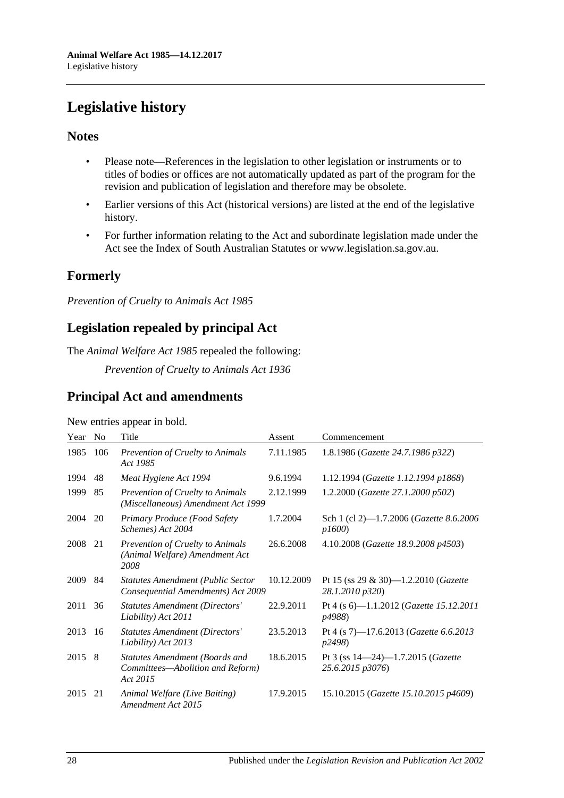## <span id="page-27-0"></span>**Legislative history**

### **Notes**

- Please note—References in the legislation to other legislation or instruments or to titles of bodies or offices are not automatically updated as part of the program for the revision and publication of legislation and therefore may be obsolete.
- Earlier versions of this Act (historical versions) are listed at the end of the legislative history.
- For further information relating to the Act and subordinate legislation made under the Act see the Index of South Australian Statutes or www.legislation.sa.gov.au.

## **Formerly**

*Prevention of Cruelty to Animals Act 1985*

## **Legislation repealed by principal Act**

The *Animal Welfare Act 1985* repealed the following:

*Prevention of Cruelty to Animals Act 1936*

## **Principal Act and amendments**

| Year | N <sub>0</sub> | Title                                                                                 | Assent     | Commencement                                                     |
|------|----------------|---------------------------------------------------------------------------------------|------------|------------------------------------------------------------------|
| 1985 | 106            | Prevention of Cruelty to Animals<br>Act 1985                                          | 7.11.1985  | 1.8.1986 (Gazette 24.7.1986 p322)                                |
| 1994 | 48             | Meat Hygiene Act 1994                                                                 | 9.6.1994   | 1.12.1994 (Gazette 1.12.1994 p1868)                              |
| 1999 | 85             | <b>Prevention of Cruelty to Animals</b><br>(Miscellaneous) Amendment Act 1999         | 2.12.1999  | 1.2.2000 (Gazette 27.1.2000 p502)                                |
| 2004 | 20             | Primary Produce (Food Safety<br>Schemes) Act 2004                                     | 1.7.2004   | Sch 1 (cl 2)-1.7.2006 (Gazette 8.6.2006<br>p1600)                |
| 2008 | 21             | Prevention of Cruelty to Animals<br>(Animal Welfare) Amendment Act<br>2008            | 26.6.2008  | 4.10.2008 (Gazette 18.9.2008 p4503)                              |
| 2009 | 84             | <b>Statutes Amendment (Public Sector</b><br>Consequential Amendments) Act 2009        | 10.12.2009 | Pt 15 (ss 29 & 30)-1.2.2010 (Gazette<br>28.1.2010 p320)          |
| 2011 | 36             | <b>Statutes Amendment (Directors'</b><br>Liability) Act 2011                          | 22.9.2011  | Pt 4 (s 6)—1.1.2012 ( <i>Gazette 15.12.2011</i><br>p4988)        |
| 2013 | 16             | <b>Statutes Amendment (Directors'</b><br>Liability) Act 2013                          | 23.5.2013  | Pt 4 (s 7)-17.6.2013 (Gazette 6.6.2013<br>p2498)                 |
| 2015 | -8             | <b>Statutes Amendment (Boards and</b><br>Committees-Abolition and Reform)<br>Act 2015 | 18.6.2015  | Pt 3 (ss $14-24$ )-1.7.2015 ( <i>Gazette</i><br>25.6.2015 p3076) |
| 2015 | 21             | Animal Welfare (Live Baiting)<br>Amendment Act 2015                                   | 17.9.2015  | 15.10.2015 (Gazette 15.10.2015 p4609)                            |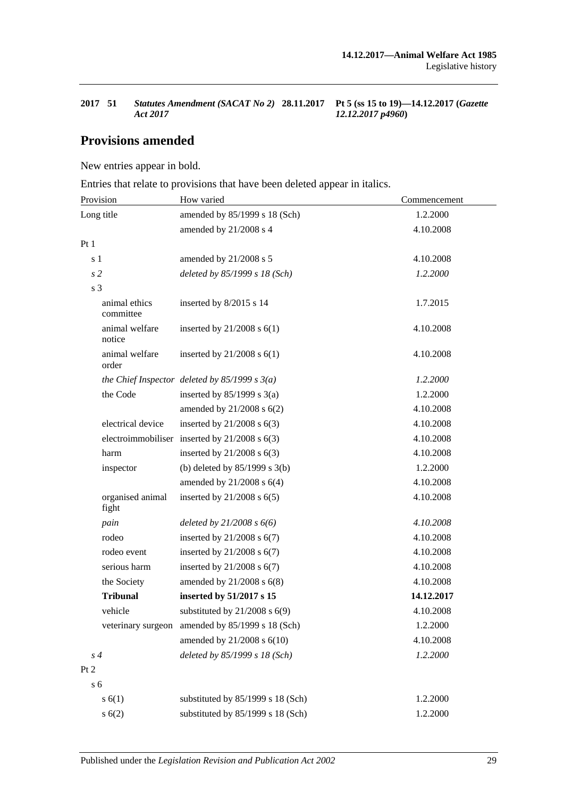*12.12.2017 p4960***)**

## **Provisions amended**

New entries appear in bold.

Entries that relate to provisions that have been deleted appear in italics.

| Provision                  | How varied                                        | Commencement |  |
|----------------------------|---------------------------------------------------|--------------|--|
| Long title                 | amended by 85/1999 s 18 (Sch)                     | 1.2.2000     |  |
|                            | amended by 21/2008 s 4                            | 4.10.2008    |  |
| Pt <sub>1</sub>            |                                                   |              |  |
| s <sub>1</sub>             | amended by 21/2008 s 5                            | 4.10.2008    |  |
| s <sub>2</sub>             | deleted by 85/1999 s 18 (Sch)                     | 1.2.2000     |  |
| s <sub>3</sub>             |                                                   |              |  |
| animal ethics<br>committee | inserted by 8/2015 s 14                           | 1.7.2015     |  |
| animal welfare<br>notice   | inserted by $21/2008$ s $6(1)$                    | 4.10.2008    |  |
| animal welfare<br>order    | inserted by $21/2008$ s $6(1)$                    | 4.10.2008    |  |
|                            | the Chief Inspector deleted by $85/1999 s 3(a)$   | 1.2.2000     |  |
| the Code                   | inserted by $85/1999$ s 3(a)                      | 1.2.2000     |  |
|                            | amended by 21/2008 s 6(2)                         | 4.10.2008    |  |
| electrical device          | inserted by $21/2008$ s $6(3)$                    | 4.10.2008    |  |
|                            | electroimmobiliser inserted by $21/2008$ s $6(3)$ | 4.10.2008    |  |
| harm                       | inserted by $21/2008$ s $6(3)$                    | 4.10.2008    |  |
| inspector                  | (b) deleted by $85/1999$ s 3(b)                   | 1.2.2000     |  |
|                            | amended by $21/2008$ s $6(4)$                     | 4.10.2008    |  |
| organised animal<br>fight  | inserted by $21/2008$ s $6(5)$                    | 4.10.2008    |  |
| pain                       | deleted by $21/2008 s 6(6)$                       | 4.10.2008    |  |
| rodeo                      | inserted by $21/2008$ s $6(7)$                    | 4.10.2008    |  |
| rodeo event                | inserted by $21/2008$ s $6(7)$                    | 4.10.2008    |  |
| serious harm               | inserted by $21/2008$ s $6(7)$                    | 4.10.2008    |  |
| the Society                | amended by $21/2008$ s $6(8)$                     | 4.10.2008    |  |
| <b>Tribunal</b>            | inserted by 51/2017 s 15                          | 14.12.2017   |  |
| vehicle                    | substituted by $21/2008$ s $6(9)$                 | 4.10.2008    |  |
|                            | veterinary surgeon amended by 85/1999 s 18 (Sch)  | 1.2.2000     |  |
|                            | amended by 21/2008 s 6(10)                        | 4.10.2008    |  |
| s <sub>4</sub>             | deleted by 85/1999 s 18 (Sch)                     | 1.2.2000     |  |
| Pt 2                       |                                                   |              |  |
| s <sub>6</sub>             |                                                   |              |  |
| s(6(1))                    | substituted by 85/1999 s 18 (Sch)                 | 1.2.2000     |  |
| s(6(2))                    | substituted by 85/1999 s 18 (Sch)                 | 1.2.2000     |  |

**<sup>2017</sup> 51** *Statutes Amendment (SACAT No 2)*  **28.11.2017 Pt 5 (ss 15 to 19)—14.12.2017 (***Gazette Act 2017*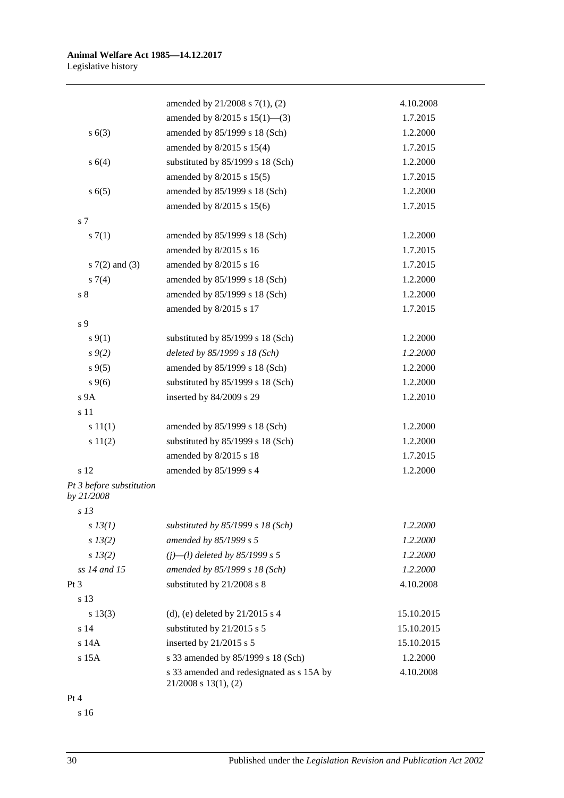|                                        | amended by $21/2008$ s $7(1)$ , (2)                                    | 4.10.2008  |
|----------------------------------------|------------------------------------------------------------------------|------------|
|                                        | amended by $8/2015$ s $15(1)$ —(3)                                     | 1.7.2015   |
| s(6(3))                                | amended by 85/1999 s 18 (Sch)                                          | 1.2.2000   |
|                                        | amended by 8/2015 s 15(4)                                              | 1.7.2015   |
| s(4)                                   | substituted by 85/1999 s 18 (Sch)                                      | 1.2.2000   |
|                                        | amended by 8/2015 s 15(5)                                              | 1.7.2015   |
| s(6(5)                                 | amended by 85/1999 s 18 (Sch)                                          | 1.2.2000   |
|                                        | amended by 8/2015 s 15(6)                                              | 1.7.2015   |
| s 7                                    |                                                                        |            |
| s(7(1))                                | amended by 85/1999 s 18 (Sch)                                          | 1.2.2000   |
|                                        | amended by 8/2015 s 16                                                 | 1.7.2015   |
| s $7(2)$ and $(3)$                     | amended by 8/2015 s 16                                                 | 1.7.2015   |
| $s \, 7(4)$                            | amended by 85/1999 s 18 (Sch)                                          | 1.2.2000   |
| $s8$                                   | amended by 85/1999 s 18 (Sch)                                          | 1.2.2000   |
|                                        | amended by 8/2015 s 17                                                 | 1.7.2015   |
| s 9                                    |                                                                        |            |
| $s \, 9(1)$                            | substituted by 85/1999 s 18 (Sch)                                      | 1.2.2000   |
| $s \, 9(2)$                            | deleted by 85/1999 s 18 (Sch)                                          | 1.2.2000   |
| $s \, 9(5)$                            | amended by 85/1999 s 18 (Sch)                                          | 1.2.2000   |
| $s \, 9(6)$                            | substituted by 85/1999 s 18 (Sch)                                      | 1.2.2000   |
| s 9A                                   | inserted by 84/2009 s 29                                               | 1.2.2010   |
| s 11                                   |                                                                        |            |
| s 11(1)                                | amended by 85/1999 s 18 (Sch)                                          | 1.2.2000   |
| s 11(2)                                | substituted by 85/1999 s 18 (Sch)                                      | 1.2.2000   |
|                                        | amended by 8/2015 s 18                                                 | 1.7.2015   |
| s 12                                   | amended by 85/1999 s 4                                                 | 1.2.2000   |
| Pt 3 before substitution<br>by 21/2008 |                                                                        |            |
| s <sub>13</sub>                        |                                                                        |            |
| $s$ 13(1)                              | substituted by $85/1999 s 18 (Sch)$                                    | 1.2.2000   |
| s 13(2)                                | amended by 85/1999 s 5                                                 | 1.2.2000   |
| $s\,13(2)$                             | $(j)$ —(l) deleted by 85/1999 s 5                                      | 1.2.2000   |
| ss 14 and 15                           | amended by 85/1999 s 18 (Sch)                                          | 1.2.2000   |
| Pt 3                                   | substituted by 21/2008 s 8                                             | 4.10.2008  |
| s 13                                   |                                                                        |            |
| $s\ 13(3)$                             | (d), (e) deleted by $21/2015$ s 4                                      | 15.10.2015 |
| s 14                                   | substituted by 21/2015 s 5                                             | 15.10.2015 |
| s 14A                                  | inserted by $21/2015$ s 5                                              | 15.10.2015 |
| s 15A                                  | s 33 amended by 85/1999 s 18 (Sch)                                     | 1.2.2000   |
|                                        | s 33 amended and redesignated as s 15A by<br>$21/2008$ s $13(1)$ , (2) | 4.10.2008  |
|                                        |                                                                        |            |

Pt 4

s 16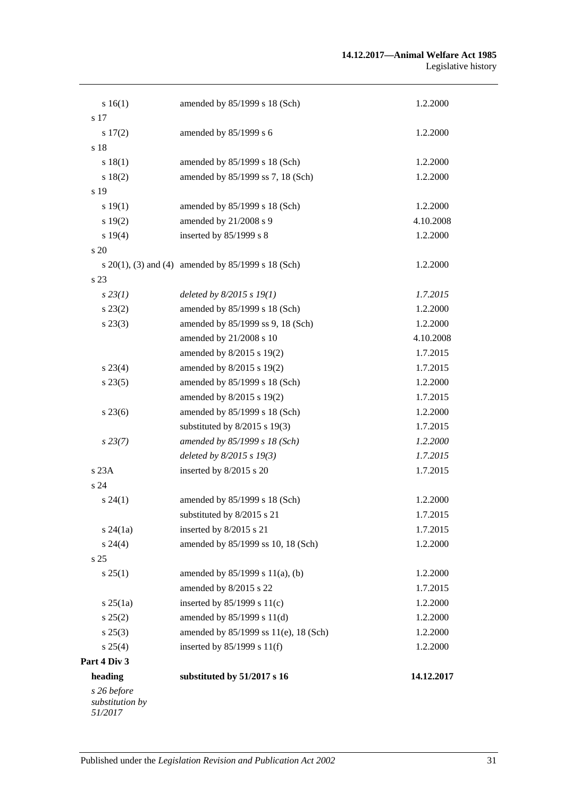| 14.12.2017           |
|----------------------|
|                      |
| 1.2.2000             |
| 1.2.2000             |
| 1.2.2000<br>1.2.2000 |
| 1.7.2015             |
| 1.2.2000             |
|                      |
| 1.2.2000             |
| 1.7.2015             |
| 1.7.2015             |
| 1.2.2000             |
|                      |
| 1.7.2015             |
| 1.7.2015             |
| 1.2.2000             |
| 1.7.2015             |
| 1.2.2000             |
| 1.7.2015             |
| 1.2.2000             |
| 1.7.2015             |
| 1.7.2015             |
| 4.10.2008            |
| 1.2.2000             |
| 1.2.2000             |
| 1.7.2015             |
|                      |
| 1.2.2000             |
|                      |
| 1.2.2000             |
| 4.10.2008            |
| 1.2.2000             |
|                      |
| 1.2.2000             |
| 1.2.2000             |
|                      |
| 1.2.2000             |
|                      |
| 1.2.2000             |
|                      |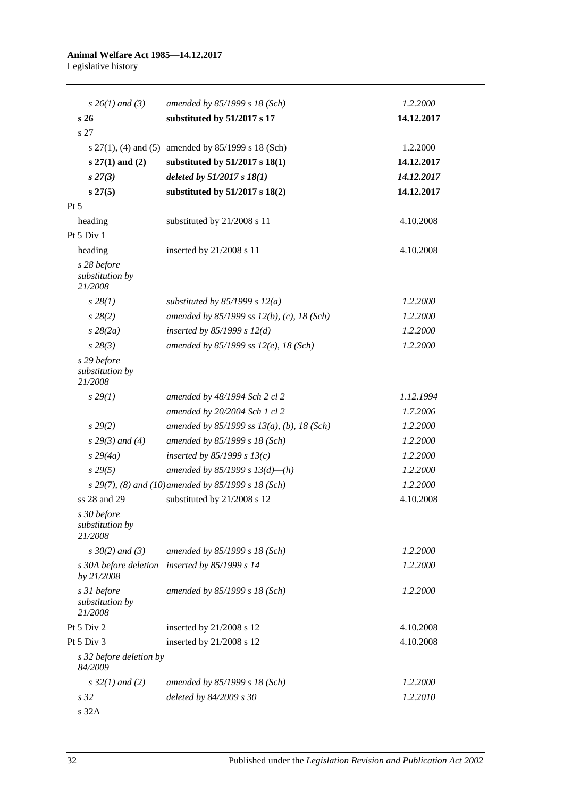| $s \; 26(1)$ and (3)                      | amended by 85/1999 s 18 (Sch)                           | 1.2.2000   |
|-------------------------------------------|---------------------------------------------------------|------------|
| s <sub>26</sub>                           | substituted by 51/2017 s 17                             | 14.12.2017 |
| s 27                                      |                                                         |            |
|                                           | s $27(1)$ , (4) and (5) amended by $85/1999$ s 18 (Sch) | 1.2.2000   |
| $s 27(1)$ and (2)                         | substituted by $51/2017$ s $18(1)$                      | 14.12.2017 |
| $s\,27(3)$                                | deleted by $51/2017 s 18(1)$                            | 14.12.2017 |
| s 27(5)                                   | substituted by $51/2017$ s $18(2)$                      | 14.12.2017 |
| $Pt\,5$                                   |                                                         |            |
| heading                                   | substituted by 21/2008 s 11                             | 4.10.2008  |
| Pt 5 Div 1                                |                                                         |            |
| heading                                   | inserted by 21/2008 s 11                                | 4.10.2008  |
| s 28 before<br>substitution by<br>21/2008 |                                                         |            |
| $s\,28(1)$                                | substituted by $85/1999$ s $12(a)$                      | 1.2.2000   |
| $s\,28(2)$                                | amended by 85/1999 ss 12(b), (c), 18 (Sch)              | 1.2.2000   |
| $s\,28(2a)$                               | inserted by $85/1999 s 12(d)$                           | 1.2.2000   |
| $s\,28(3)$                                | amended by 85/1999 ss $12(e)$ , 18 (Sch)                | 1.2.2000   |
| s 29 before<br>substitution by<br>21/2008 |                                                         |            |
| $s\,29(1)$                                | amended by 48/1994 Sch 2 cl 2                           | 1.12.1994  |
|                                           | amended by 20/2004 Sch 1 cl 2                           | 1.7.2006   |
| $s\,29(2)$                                | amended by 85/1999 ss $13(a)$ , (b), 18 (Sch)           | 1.2.2000   |
| $s$ 29(3) and (4)                         | amended by 85/1999 s 18 (Sch)                           | 1.2.2000   |
| $s\,29(4a)$                               | inserted by $85/1999 s 13(c)$                           | 1.2.2000   |
| $s\,29(5)$                                | amended by 85/1999 s $13(d)$ —(h)                       | 1.2.2000   |
|                                           | s 29(7), (8) and (10) amended by 85/1999 s 18 (Sch)     | 1.2.2000   |
| ss 28 and 29                              | substituted by 21/2008 s 12                             | 4.10.2008  |
| s 30 before<br>substitution by<br>21/2008 |                                                         |            |
| $s \, 30(2)$ and (3)                      | amended by 85/1999 s 18 (Sch)                           | 1.2.2000   |
| s 30A before deletion<br>by 21/2008       | inserted by 85/1999 s 14                                | 1.2.2000   |
| s 31 before<br>substitution by<br>21/2008 | amended by 85/1999 s 18 (Sch)                           | 1.2.2000   |
| Pt $5$ Div $2$                            | inserted by 21/2008 s 12                                | 4.10.2008  |
| Pt 5 Div 3                                | inserted by 21/2008 s 12                                | 4.10.2008  |
| s 32 before deletion by<br>84/2009        |                                                         |            |
| $s\,32(1)$ and (2)                        | amended by $85/1999 s 18 (Sch)$                         | 1.2.2000   |
| s <sub>32</sub><br>s 32A                  | deleted by 84/2009 s 30                                 | 1.2.2010   |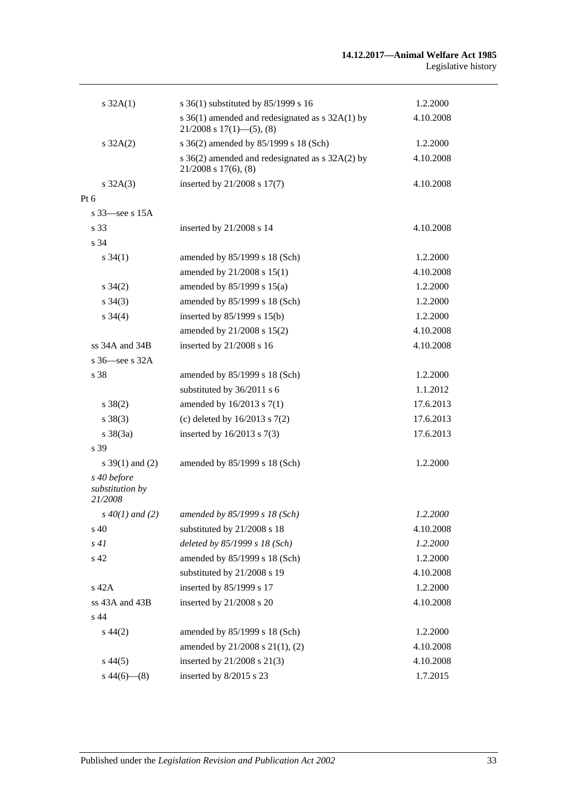| $s \, 32A(1)$                             | s 36(1) substituted by 85/1999 s 16                                                  | 1.2.2000  |
|-------------------------------------------|--------------------------------------------------------------------------------------|-----------|
|                                           | s $36(1)$ amended and redesignated as s $32A(1)$ by<br>$21/2008$ s $17(1)$ —(5), (8) | 4.10.2008 |
| $s \, 32A(2)$                             | s 36(2) amended by 85/1999 s 18 (Sch)                                                | 1.2.2000  |
|                                           | s 36(2) amended and redesignated as s 32A(2) by<br>$21/2008$ s $17(6)$ , $(8)$       | 4.10.2008 |
| $s \, 32A(3)$                             | inserted by 21/2008 s 17(7)                                                          | 4.10.2008 |
| Pt 6                                      |                                                                                      |           |
| s $33$ —see s $15A$                       |                                                                                      |           |
| s 33                                      | inserted by 21/2008 s 14                                                             | 4.10.2008 |
| s 34                                      |                                                                                      |           |
| $s \, 34(1)$                              | amended by 85/1999 s 18 (Sch)                                                        | 1.2.2000  |
|                                           | amended by 21/2008 s 15(1)                                                           | 4.10.2008 |
| $s \; 34(2)$                              | amended by $85/1999$ s $15(a)$                                                       | 1.2.2000  |
| $s \; 34(3)$                              | amended by 85/1999 s 18 (Sch)                                                        | 1.2.2000  |
| $s \; 34(4)$                              | inserted by $85/1999$ s $15(b)$                                                      | 1.2.2000  |
|                                           | amended by 21/2008 s 15(2)                                                           | 4.10.2008 |
| $ss$ 34A and 34B                          | inserted by 21/2008 s 16                                                             | 4.10.2008 |
| s $36$ see s $32A$                        |                                                                                      |           |
| s 38                                      | amended by 85/1999 s 18 (Sch)                                                        | 1.2.2000  |
|                                           | substituted by 36/2011 s 6                                                           | 1.1.2012  |
| $s \, 38(2)$                              | amended by $16/2013$ s $7(1)$                                                        | 17.6.2013 |
| $s \ 38(3)$                               | (c) deleted by $16/2013$ s $7(2)$                                                    | 17.6.2013 |
| $s \, 38(3a)$                             | inserted by $16/2013$ s $7(3)$                                                       | 17.6.2013 |
| s 39                                      |                                                                                      |           |
| s $39(1)$ and (2)                         | amended by 85/1999 s 18 (Sch)                                                        | 1.2.2000  |
| s 40 before<br>substitution by<br>21/2008 |                                                                                      |           |
| $s\,40(1)$ and (2)                        | amended by 85/1999 s 18 (Sch)                                                        | 1.2.2000  |
| $\rm s$ 40                                | substituted by 21/2008 s 18                                                          | 4.10.2008 |
| s41                                       | deleted by 85/1999 s 18 (Sch)                                                        | 1.2.2000  |
| s 42                                      | amended by 85/1999 s 18 (Sch)                                                        | 1.2.2000  |
|                                           | substituted by 21/2008 s 19                                                          | 4.10.2008 |
| s 42A                                     | inserted by 85/1999 s 17                                                             | 1.2.2000  |
| ss 43A and 43B                            | inserted by 21/2008 s 20                                                             | 4.10.2008 |
| s 44                                      |                                                                                      |           |
| $s\,44(2)$                                | amended by 85/1999 s 18 (Sch)                                                        | 1.2.2000  |
|                                           | amended by 21/2008 s 21(1), (2)                                                      | 4.10.2008 |
| $s\,44(5)$                                | inserted by 21/2008 s 21(3)                                                          | 4.10.2008 |
| $s\,44(6)$ (8)                            | inserted by 8/2015 s 23                                                              | 1.7.2015  |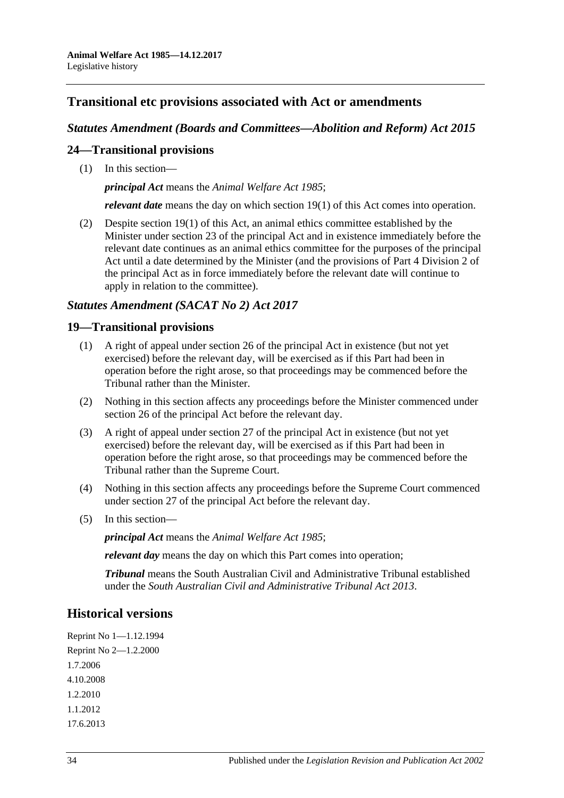## **Transitional etc provisions associated with Act or amendments**

### *Statutes Amendment (Boards and Committees—Abolition and Reform) Act 2015*

### **24—Transitional provisions**

(1) In this section—

*principal Act* means the *[Animal Welfare Act](http://www.legislation.sa.gov.au/index.aspx?action=legref&type=act&legtitle=Animal%20Welfare%20Act%201985) 1985*;

*relevant date* means the day on which section 19(1) of this Act comes into operation.

(2) Despite section 19(1) of this Act, an animal ethics committee established by the Minister under section 23 of the principal Act and in existence immediately before the relevant date continues as an animal ethics committee for the purposes of the principal Act until a date determined by the Minister (and the provisions of Part 4 Division 2 of the principal Act as in force immediately before the relevant date will continue to apply in relation to the committee).

### *Statutes Amendment (SACAT No 2) Act 2017*

### **19—Transitional provisions**

- (1) A right of appeal under section 26 of the principal Act in existence (but not yet exercised) before the relevant day, will be exercised as if this Part had been in operation before the right arose, so that proceedings may be commenced before the Tribunal rather than the Minister.
- (2) Nothing in this section affects any proceedings before the Minister commenced under section 26 of the principal Act before the relevant day.
- (3) A right of appeal under section 27 of the principal Act in existence (but not yet exercised) before the relevant day, will be exercised as if this Part had been in operation before the right arose, so that proceedings may be commenced before the Tribunal rather than the Supreme Court.
- (4) Nothing in this section affects any proceedings before the Supreme Court commenced under section 27 of the principal Act before the relevant day.
- (5) In this section—

*principal Act* means the *[Animal Welfare Act](http://www.legislation.sa.gov.au/index.aspx?action=legref&type=act&legtitle=Animal%20Welfare%20Act%201985) 1985*;

*relevant day* means the day on which this Part comes into operation;

*Tribunal* means the South Australian Civil and Administrative Tribunal established under the *[South Australian Civil and Administrative Tribunal Act](http://www.legislation.sa.gov.au/index.aspx?action=legref&type=act&legtitle=South%20Australian%20Civil%20and%20Administrative%20Tribunal%20Act%202013) 2013*.

### **Historical versions**

Reprint No 1—1.12.1994 Reprint No 2—1.2.2000 1.7.2006 4.10.2008 1.2.2010 1.1.2012 17.6.2013